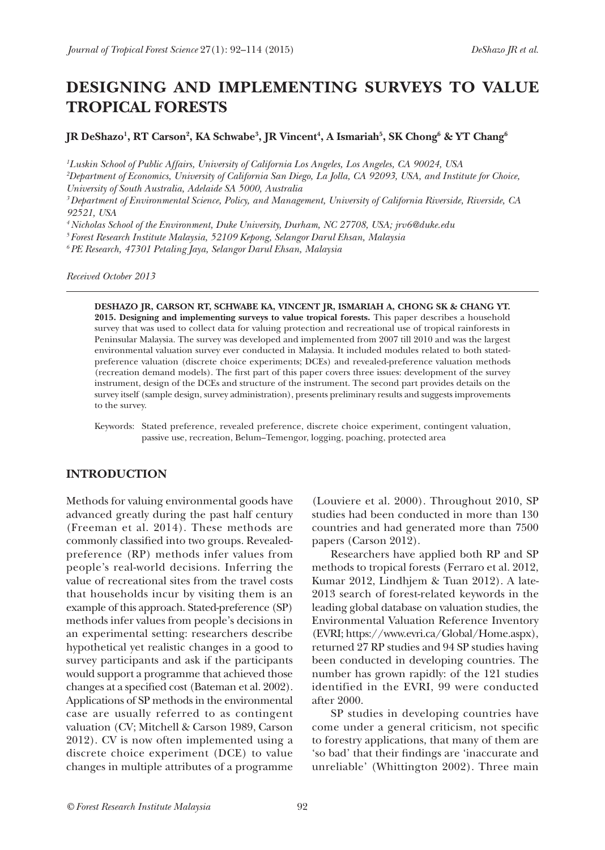# **DESIGNING AND IMPLEMENTING SURVEYS TO VALUE TROPICAL FORESTS**

 ${\bf J}$ **R** DeShazo<sup>1</sup>, **RT** Carson<sup>2</sup>, <code>KA</code> Schwabe $^3$ , <code>JR</code> Vincent $^4$ , <code>A Ismariah $^5$ , SK Chong $^6$  & YT Chang $^6$ </code>

*1 Luskin School of Public Affairs, University of California Los Angeles, Los Angeles, CA 90024, USA* 

*2 Department of Economics, University of California San Diego, La Jolla, CA 92093, USA, and Institute for Choice, University of South Australia, Adelaide SA 5000, Australia* 

*3 Department of Environmental Science, Policy, and Management, University of California Riverside, Riverside, CA 92521, USA* 

*4 Nicholas School of the Environment, Duke University, Durham, NC 27708, USA; jrv6@duke.edu* 

*5 Forest Research Institute Malaysia, 52109 Kepong, Selangor Darul Ehsan, Malaysia* 

*6 PE Research, 47301 Petaling Jaya, Selangor Darul Ehsan, Malaysia*

*Received October 2013*

**DESHAZO JR, CARSON RT, SCHWABE KA, VINCENT JR, ISMARIAH A, CHONG SK & CHANG YT. 2015. Designing and implementing surveys to value tropical forests.** This paper describes a household survey that was used to collect data for valuing protection and recreational use of tropical rainforests in Peninsular Malaysia. The survey was developed and implemented from 2007 till 2010 and was the largest environmental valuation survey ever conducted in Malaysia. It included modules related to both statedpreference valuation (discrete choice experiments; DCEs) and revealed-preference valuation methods (recreation demand models). The first part of this paper covers three issues: development of the survey instrument, design of the DCEs and structure of the instrument. The second part provides details on the survey itself (sample design, survey administration), presents preliminary results and suggests improvements to the survey.

Keywords: Stated preference, revealed preference, discrete choice experiment, contingent valuation, passive use, recreation, Belum–Temengor, logging, poaching, protected area

#### **INTRODUCTION**

Methods for valuing environmental goods have advanced greatly during the past half century (Freeman et al. 2014). These methods are commonly classified into two groups. Revealedpreference (RP) methods infer values from people's real-world decisions. Inferring the value of recreational sites from the travel costs that households incur by visiting them is an example of this approach. Stated-preference (SP) methods infer values from people's decisions in an experimental setting: researchers describe hypothetical yet realistic changes in a good to survey participants and ask if the participants would support a programme that achieved those changes at a specified cost (Bateman et al. 2002). Applications of SP methods in the environmental case are usually referred to as contingent valuation (CV; Mitchell & Carson 1989, Carson 2012). CV is now often implemented using a discrete choice experiment (DCE) to value changes in multiple attributes of a programme

(Louviere et al. 2000). Throughout 2010, SP studies had been conducted in more than 130 countries and had generated more than 7500 papers (Carson 2012).

Researchers have applied both RP and SP methods to tropical forests (Ferraro et al. 2012, Kumar 2012, Lindhjem & Tuan 2012). A late-2013 search of forest-related keywords in the leading global database on valuation studies, the Environmental Valuation Reference Inventory (EVRI; https://www.evri.ca/Global/Home.aspx), returned 27 RP studies and 94 SP studies having been conducted in developing countries. The number has grown rapidly: of the 121 studies identified in the EVRI, 99 were conducted after 2000.

SP studies in developing countries have come under a general criticism, not specific to forestry applications, that many of them are 'so bad' that their findings are 'inaccurate and unreliable' (Whittington 2002). Three main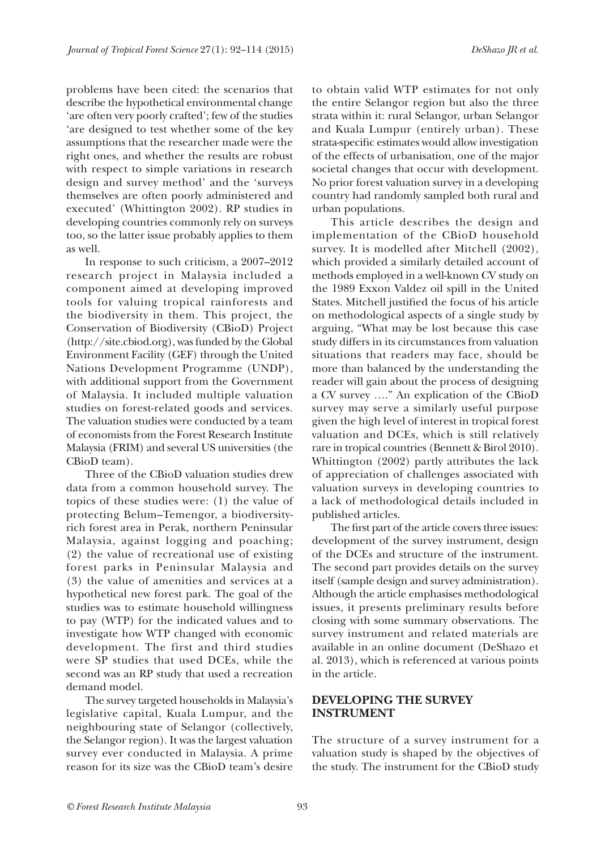problems have been cited: the scenarios that describe the hypothetical environmental change 'are often very poorly crafted'; few of the studies 'are designed to test whether some of the key assumptions that the researcher made were the right ones, and whether the results are robust with respect to simple variations in research design and survey method' and the 'surveys themselves are often poorly administered and executed' (Whittington 2002). RP studies in developing countries commonly rely on surveys too, so the latter issue probably applies to them as well.

In response to such criticism, a 2007–2012 research project in Malaysia included a component aimed at developing improved tools for valuing tropical rainforests and the biodiversity in them. This project, the Conservation of Biodiversity (CBioD) Project (http://site.cbiod.org), was funded by the Global Environment Facility (GEF) through the United Nations Development Programme (UNDP), with additional support from the Government of Malaysia. It included multiple valuation studies on forest-related goods and services. The valuation studies were conducted by a team of economists from the Forest Research Institute Malaysia (FRIM) and several US universities (the CBioD team).

Three of the CBioD valuation studies drew data from a common household survey. The topics of these studies were: (1) the value of protecting Belum–Temengor, a biodiversityrich forest area in Perak, northern Peninsular Malaysia, against logging and poaching; (2) the value of recreational use of existing forest parks in Peninsular Malaysia and (3) the value of amenities and services at a hypothetical new forest park. The goal of the studies was to estimate household willingness to pay (WTP) for the indicated values and to investigate how WTP changed with economic development. The first and third studies were SP studies that used DCEs, while the second was an RP study that used a recreation demand model.

The survey targeted households in Malaysia's legislative capital, Kuala Lumpur, and the neighbouring state of Selangor (collectively, the Selangor region). It was the largest valuation survey ever conducted in Malaysia. A prime reason for its size was the CBioD team's desire

to obtain valid WTP estimates for not only the entire Selangor region but also the three strata within it: rural Selangor, urban Selangor and Kuala Lumpur (entirely urban). These strata-specific estimates would allow investigation of the effects of urbanisation, one of the major societal changes that occur with development. No prior forest valuation survey in a developing country had randomly sampled both rural and urban populations.

This article describes the design and implementation of the CBioD household survey. It is modelled after Mitchell (2002), which provided a similarly detailed account of methods employed in a well-known CV study on the 1989 Exxon Valdez oil spill in the United States. Mitchell justified the focus of his article on methodological aspects of a single study by arguing, "What may be lost because this case study differs in its circumstances from valuation situations that readers may face, should be more than balanced by the understanding the reader will gain about the process of designing a CV survey …." An explication of the CBioD survey may serve a similarly useful purpose given the high level of interest in tropical forest valuation and DCEs, which is still relatively rare in tropical countries (Bennett & Birol 2010). Whittington (2002) partly attributes the lack of appreciation of challenges associated with valuation surveys in developing countries to a lack of methodological details included in published articles.

The first part of the article covers three issues: development of the survey instrument, design of the DCEs and structure of the instrument. The second part provides details on the survey itself (sample design and survey administration). Although the article emphasises methodological issues, it presents preliminary results before closing with some summary observations. The survey instrument and related materials are available in an online document (DeShazo et al. 2013), which is referenced at various points in the article.

### **DEVELOPING THE SURVEY INSTRUMENT**

The structure of a survey instrument for a valuation study is shaped by the objectives of the study. The instrument for the CBioD study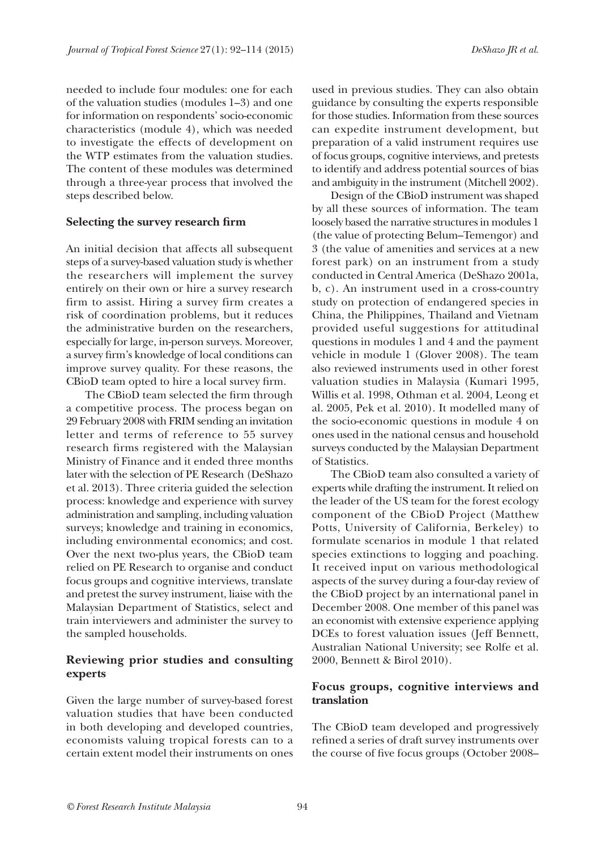needed to include four modules: one for each of the valuation studies (modules 1–3) and one for information on respondents' socio-economic characteristics (module 4), which was needed to investigate the effects of development on the WTP estimates from the valuation studies. The content of these modules was determined through a three-year process that involved the steps described below.

#### **Selecting the survey research firm**

An initial decision that affects all subsequent steps of a survey-based valuation study is whether the researchers will implement the survey entirely on their own or hire a survey research firm to assist. Hiring a survey firm creates a risk of coordination problems, but it reduces the administrative burden on the researchers, especially for large, in-person surveys. Moreover, a survey firm's knowledge of local conditions can improve survey quality. For these reasons, the CBioD team opted to hire a local survey firm.

The CBioD team selected the firm through a competitive process. The process began on 29 February 2008 with FRIM sending an invitation letter and terms of reference to 55 survey research firms registered with the Malaysian Ministry of Finance and it ended three months later with the selection of PE Research (DeShazo et al. 2013). Three criteria guided the selection process: knowledge and experience with survey administration and sampling, including valuation surveys; knowledge and training in economics, including environmental economics; and cost. Over the next two-plus years, the CBioD team relied on PE Research to organise and conduct focus groups and cognitive interviews, translate and pretest the survey instrument, liaise with the Malaysian Department of Statistics, select and train interviewers and administer the survey to the sampled households.

# **Reviewing prior studies and consulting experts**

Given the large number of survey-based forest valuation studies that have been conducted in both developing and developed countries, economists valuing tropical forests can to a certain extent model their instruments on ones

used in previous studies. They can also obtain guidance by consulting the experts responsible for those studies. Information from these sources can expedite instrument development, but preparation of a valid instrument requires use of focus groups, cognitive interviews, and pretests to identify and address potential sources of bias and ambiguity in the instrument (Mitchell 2002).

Design of the CBioD instrument was shaped by all these sources of information. The team loosely based the narrative structures in modules 1 (the value of protecting Belum–Temengor) and 3 (the value of amenities and services at a new forest park) on an instrument from a study conducted in Central America (DeShazo 2001a, b, c). An instrument used in a cross-country study on protection of endangered species in China, the Philippines, Thailand and Vietnam provided useful suggestions for attitudinal questions in modules 1 and 4 and the payment vehicle in module 1 (Glover 2008). The team also reviewed instruments used in other forest valuation studies in Malaysia (Kumari 1995, Willis et al. 1998, Othman et al. 2004, Leong et al. 2005, Pek et al. 2010). It modelled many of the socio-economic questions in module 4 on ones used in the national census and household surveys conducted by the Malaysian Department of Statistics.

The CBioD team also consulted a variety of experts while drafting the instrument. It relied on the leader of the US team for the forest ecology component of the CBioD Project (Matthew Potts, University of California, Berkeley) to formulate scenarios in module 1 that related species extinctions to logging and poaching. It received input on various methodological aspects of the survey during a four-day review of the CBioD project by an international panel in December 2008. One member of this panel was an economist with extensive experience applying DCEs to forest valuation issues (Jeff Bennett, Australian National University; see Rolfe et al. 2000, Bennett & Birol 2010).

### **Focus groups, cognitive interviews and translation**

The CBioD team developed and progressively refined a series of draft survey instruments over the course of five focus groups (October 2008–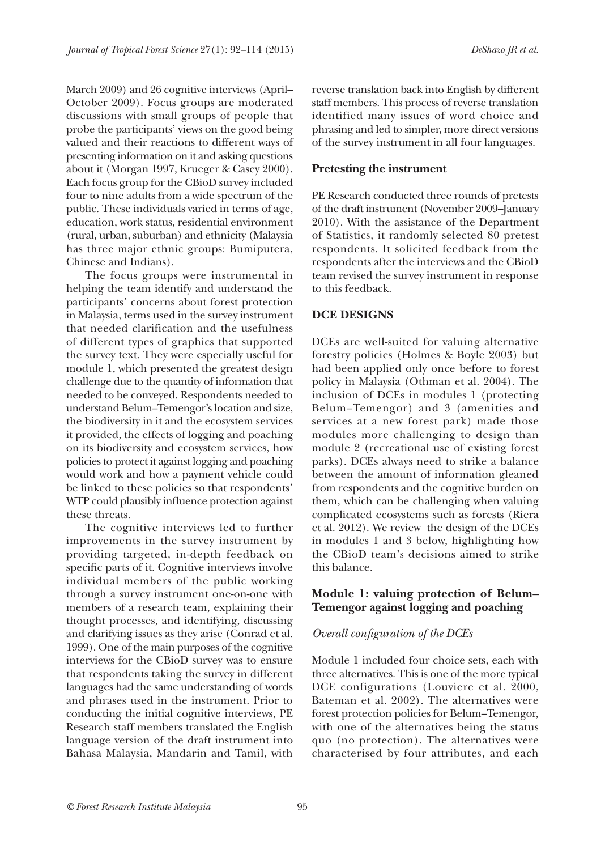March 2009) and 26 cognitive interviews (April– October 2009). Focus groups are moderated discussions with small groups of people that probe the participants' views on the good being valued and their reactions to different ways of presenting information on it and asking questions about it (Morgan 1997, Krueger & Casey 2000). Each focus group for the CBioD survey included four to nine adults from a wide spectrum of the public. These individuals varied in terms of age, education, work status, residential environment (rural, urban, suburban) and ethnicity (Malaysia has three major ethnic groups: Bumiputera, Chinese and Indians).

The focus groups were instrumental in helping the team identify and understand the participants' concerns about forest protection in Malaysia, terms used in the survey instrument that needed clarification and the usefulness of different types of graphics that supported the survey text. They were especially useful for module 1, which presented the greatest design challenge due to the quantity of information that needed to be conveyed. Respondents needed to understand Belum–Temengor's location and size, the biodiversity in it and the ecosystem services it provided, the effects of logging and poaching on its biodiversity and ecosystem services, how policies to protect it against logging and poaching would work and how a payment vehicle could be linked to these policies so that respondents' WTP could plausibly influence protection against these threats.

The cognitive interviews led to further improvements in the survey instrument by providing targeted, in-depth feedback on specific parts of it. Cognitive interviews involve individual members of the public working through a survey instrument one-on-one with members of a research team, explaining their thought processes, and identifying, discussing and clarifying issues as they arise (Conrad et al. 1999). One of the main purposes of the cognitive interviews for the CBioD survey was to ensure that respondents taking the survey in different languages had the same understanding of words and phrases used in the instrument. Prior to conducting the initial cognitive interviews, PE Research staff members translated the English language version of the draft instrument into Bahasa Malaysia, Mandarin and Tamil, with

reverse translation back into English by different staff members. This process of reverse translation identified many issues of word choice and phrasing and led to simpler, more direct versions of the survey instrument in all four languages.

#### **Pretesting the instrument**

PE Research conducted three rounds of pretests of the draft instrument (November 2009–January 2010). With the assistance of the Department of Statistics, it randomly selected 80 pretest respondents. It solicited feedback from the respondents after the interviews and the CBioD team revised the survey instrument in response to this feedback.

### **DCE DESIGNS**

DCEs are well-suited for valuing alternative forestry policies (Holmes & Boyle 2003) but had been applied only once before to forest policy in Malaysia (Othman et al. 2004). The inclusion of DCEs in modules 1 (protecting Belum–Temengor) and 3 (amenities and services at a new forest park) made those modules more challenging to design than module 2 (recreational use of existing forest parks). DCEs always need to strike a balance between the amount of information gleaned from respondents and the cognitive burden on them, which can be challenging when valuing complicated ecosystems such as forests (Riera et al. 2012). We review the design of the DCEs in modules 1 and 3 below, highlighting how the CBioD team's decisions aimed to strike this balance.

### **Module 1: valuing protection of Belum– Temengor against logging and poaching**

#### *Overall configuration of the DCEs*

Module 1 included four choice sets, each with three alternatives. This is one of the more typical DCE configurations (Louviere et al. 2000, Bateman et al. 2002). The alternatives were forest protection policies for Belum–Temengor, with one of the alternatives being the status quo (no protection). The alternatives were characterised by four attributes, and each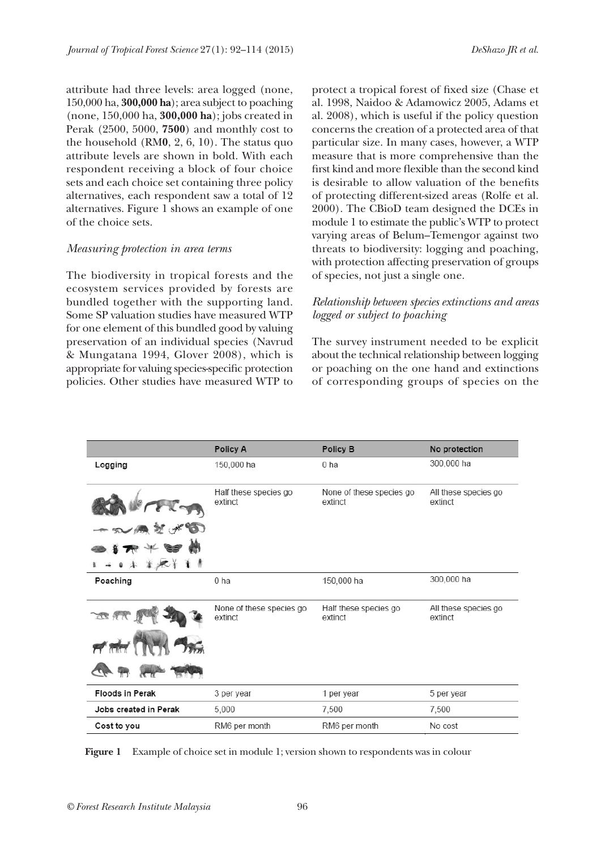attribute had three levels: area logged (none, 150,000 ha, **300,000 ha**); area subject to poaching (none, 150,000 ha, **300,000 ha**); jobs created in Perak (2500, 5000, **7500**) and monthly cost to the household (RM**0**, 2, 6, 10). The status quo attribute levels are shown in bold. With each respondent receiving a block of four choice sets and each choice set containing three policy alternatives, each respondent saw a total of 12 alternatives. Figure 1 shows an example of one of the choice sets.

#### *Measuring protection in area terms*

The biodiversity in tropical forests and the ecosystem services provided by forests are bundled together with the supporting land. Some SP valuation studies have measured WTP for one element of this bundled good by valuing preservation of an individual species (Navrud & Mungatana 1994, Glover 2008), which is appropriate for valuing species-specific protection policies. Other studies have measured WTP to

protect a tropical forest of fixed size (Chase et al. 1998, Naidoo & Adamowicz 2005, Adams et al. 2008), which is useful if the policy question concerns the creation of a protected area of that particular size. In many cases, however, a WTP measure that is more comprehensive than the first kind and more flexible than the second kind is desirable to allow valuation of the benefits of protecting different-sized areas (Rolfe et al. 2000). The CBioD team designed the DCEs in module 1 to estimate the public's WTP to protect varying areas of Belum–Temengor against two threats to biodiversity: logging and poaching, with protection affecting preservation of groups of species, not just a single one.

### *Relationship between species extinctions and areas logged or subject to poaching*

The survey instrument needed to be explicit about the technical relationship between logging or poaching on the one hand and extinctions of corresponding groups of species on the

|                        | Policy A                            | Policy B                            | No protection                   |
|------------------------|-------------------------------------|-------------------------------------|---------------------------------|
| Logging                | 150,000 ha                          | 0 <sub>ha</sub>                     | 300,000 ha                      |
|                        | Half these species go<br>extinct    | None of these species go<br>extinct | All these species go<br>extinct |
|                        |                                     |                                     |                                 |
|                        |                                     |                                     |                                 |
| 家人十                    |                                     |                                     |                                 |
| Poaching               | 0 <sub>ha</sub>                     | 150,000 ha                          | 300,000 ha                      |
|                        | None of these species go<br>extinct | Half these species go<br>extinct    | All these species go<br>extinct |
|                        |                                     |                                     |                                 |
|                        |                                     |                                     |                                 |
| <b>Floods in Perak</b> | 3 per year                          | 1 per year                          | 5 per year                      |
| Jobs created in Perak  | 5,000                               | 7,500                               | 7,500                           |
| Cost to you            | RM6 per month                       | RM6 per month                       | No cost                         |

**Figure 1** Example of choice set in module 1; version shown to respondents was in colour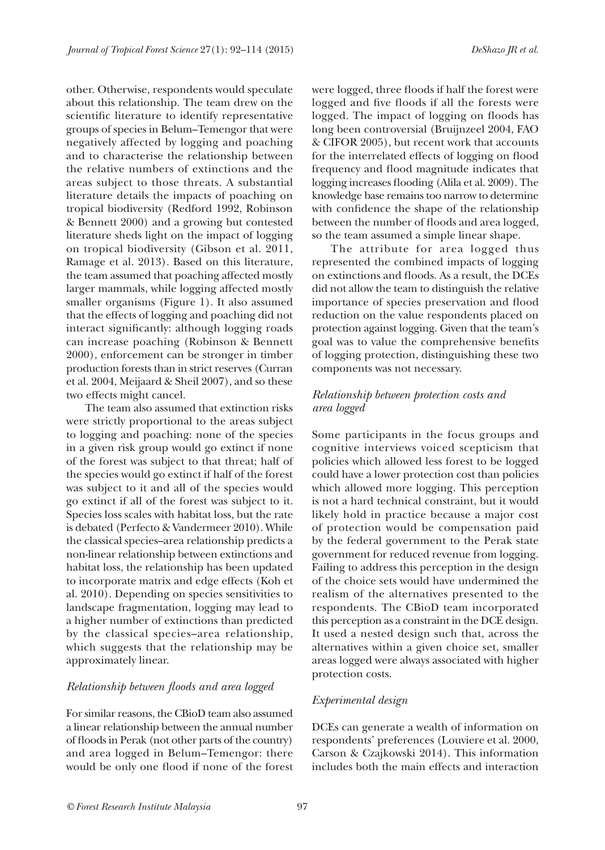other. Otherwise, respondents would speculate about this relationship. The team drew on the scientific literature to identify representative groups of species in Belum–Temengor that were negatively affected by logging and poaching and to characterise the relationship between the relative numbers of extinctions and the areas subject to those threats. A substantial literature details the impacts of poaching on tropical biodiversity (Redford 1992, Robinson & Bennett 2000) and a growing but contested literature sheds light on the impact of logging on tropical biodiversity (Gibson et al. 2011, Ramage et al. 2013). Based on this literature, the team assumed that poaching affected mostly larger mammals, while logging affected mostly smaller organisms (Figure 1). It also assumed that the effects of logging and poaching did not interact significantly: although logging roads can increase poaching (Robinson & Bennett 2000), enforcement can be stronger in timber production forests than in strict reserves (Curran et al. 2004, Meijaard & Sheil 2007), and so these two effects might cancel.

The team also assumed that extinction risks were strictly proportional to the areas subject to logging and poaching: none of the species in a given risk group would go extinct if none of the forest was subject to that threat; half of the species would go extinct if half of the forest was subject to it and all of the species would go extinct if all of the forest was subject to it. Species loss scales with habitat loss, but the rate is debated (Perfecto & Vandermeer 2010). While the classical species–area relationship predicts a non-linear relationship between extinctions and habitat loss, the relationship has been updated to incorporate matrix and edge effects (Koh et al. 2010). Depending on species sensitivities to landscape fragmentation, logging may lead to a higher number of extinctions than predicted by the classical species–area relationship, which suggests that the relationship may be approximately linear.

#### *Relationship between floods and area logged*

For similar reasons, the CBioD team also assumed a linear relationship between the annual number of floods in Perak (not other parts of the country) and area logged in Belum–Temengor: there would be only one flood if none of the forest

were logged, three floods if half the forest were logged and five floods if all the forests were logged. The impact of logging on floods has long been controversial (Bruijnzeel 2004, FAO & CIFOR 2005), but recent work that accounts for the interrelated effects of logging on flood frequency and flood magnitude indicates that logging increases flooding (Alila et al. 2009). The knowledge base remains too narrow to determine with confidence the shape of the relationship between the number of floods and area logged, so the team assumed a simple linear shape.

The attribute for area logged thus represented the combined impacts of logging on extinctions and floods. As a result, the DCEs did not allow the team to distinguish the relative importance of species preservation and flood reduction on the value respondents placed on protection against logging. Given that the team's goal was to value the comprehensive benefits of logging protection, distinguishing these two components was not necessary.

### *Relationship between protection costs and area logged*

Some participants in the focus groups and cognitive interviews voiced scepticism that policies which allowed less forest to be logged could have a lower protection cost than policies which allowed more logging. This perception is not a hard technical constraint, but it would likely hold in practice because a major cost of protection would be compensation paid by the federal government to the Perak state government for reduced revenue from logging. Failing to address this perception in the design of the choice sets would have undermined the realism of the alternatives presented to the respondents. The CBioD team incorporated this perception as a constraint in the DCE design. It used a nested design such that, across the alternatives within a given choice set, smaller areas logged were always associated with higher protection costs.

### *Experimental design*

DCEs can generate a wealth of information on respondents' preferences (Louviere et al. 2000, Carson & Czajkowski 2014). This information includes both the main effects and interaction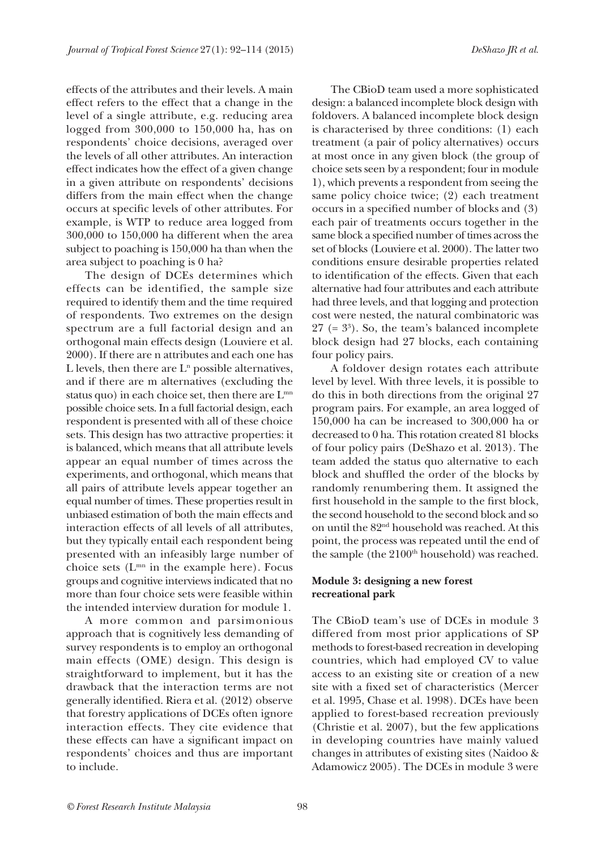effects of the attributes and their levels. A main effect refers to the effect that a change in the level of a single attribute, e.g. reducing area logged from 300,000 to 150,000 ha, has on respondents' choice decisions, averaged over the levels of all other attributes. An interaction effect indicates how the effect of a given change in a given attribute on respondents' decisions differs from the main effect when the change occurs at specific levels of other attributes. For example, is WTP to reduce area logged from 300,000 to 150,000 ha different when the area subject to poaching is 150,000 ha than when the area subject to poaching is 0 ha?

The design of DCEs determines which effects can be identified, the sample size required to identify them and the time required of respondents. Two extremes on the design spectrum are a full factorial design and an orthogonal main effects design (Louviere et al. 2000). If there are n attributes and each one has L levels, then there are  $L<sup>n</sup>$  possible alternatives, and if there are m alternatives (excluding the status quo) in each choice set, then there are  $L^{mn}$ possible choice sets. In a full factorial design, each respondent is presented with all of these choice sets. This design has two attractive properties: it is balanced, which means that all attribute levels appear an equal number of times across the experiments, and orthogonal, which means that all pairs of attribute levels appear together an equal number of times. These properties result in unbiased estimation of both the main effects and interaction effects of all levels of all attributes, but they typically entail each respondent being presented with an infeasibly large number of choice sets  $(L<sup>mn</sup>$  in the example here). Focus groups and cognitive interviews indicated that no more than four choice sets were feasible within the intended interview duration for module 1.

A more common and parsimonious approach that is cognitively less demanding of survey respondents is to employ an orthogonal main effects (OME) design. This design is straightforward to implement, but it has the drawback that the interaction terms are not generally identified. Riera et al. (2012) observe that forestry applications of DCEs often ignore interaction effects. They cite evidence that these effects can have a significant impact on respondents' choices and thus are important to include.

The CBioD team used a more sophisticated design: a balanced incomplete block design with foldovers. A balanced incomplete block design is characterised by three conditions: (1) each treatment (a pair of policy alternatives) occurs at most once in any given block (the group of choice sets seen by a respondent; four in module 1), which prevents a respondent from seeing the same policy choice twice; (2) each treatment occurs in a specified number of blocks and (3) each pair of treatments occurs together in the same block a specified number of times across the set of blocks (Louviere et al. 2000). The latter two conditions ensure desirable properties related to identification of the effects. Given that each alternative had four attributes and each attribute had three levels, and that logging and protection cost were nested, the natural combinatoric was  $27$  (=  $3^{\circ}$ ). So, the team's balanced incomplete block design had 27 blocks, each containing four policy pairs.

A foldover design rotates each attribute level by level. With three levels, it is possible to do this in both directions from the original 27 program pairs. For example, an area logged of 150,000 ha can be increased to 300,000 ha or decreased to 0 ha. This rotation created 81 blocks of four policy pairs (DeShazo et al. 2013). The team added the status quo alternative to each block and shuffled the order of the blocks by randomly renumbering them. It assigned the first household in the sample to the first block, the second household to the second block and so on until the 82nd household was reached. At this point, the process was repeated until the end of the sample (the  $2100<sup>th</sup>$  household) was reached.

#### **Module 3: designing a new forest recreational park**

The CBioD team's use of DCEs in module 3 differed from most prior applications of SP methods to forest-based recreation in developing countries, which had employed CV to value access to an existing site or creation of a new site with a fixed set of characteristics (Mercer et al. 1995, Chase et al. 1998). DCEs have been applied to forest-based recreation previously (Christie et al. 2007), but the few applications in developing countries have mainly valued changes in attributes of existing sites (Naidoo & Adamowicz 2005). The DCEs in module 3 were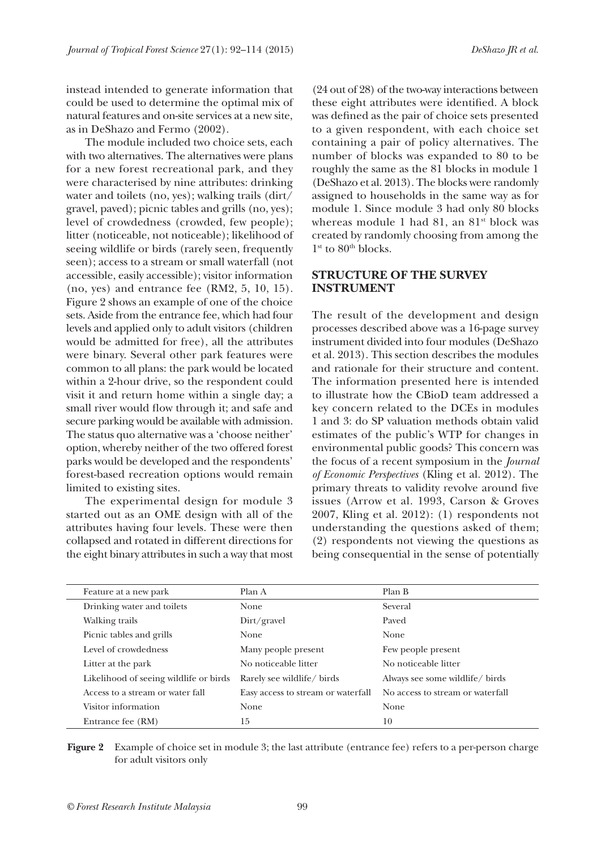instead intended to generate information that could be used to determine the optimal mix of natural features and on-site services at a new site, as in DeShazo and Fermo (2002).

The module included two choice sets, each with two alternatives. The alternatives were plans for a new forest recreational park, and they were characterised by nine attributes: drinking water and toilets (no, yes); walking trails (dirt/ gravel, paved); picnic tables and grills (no, yes); level of crowdedness (crowded, few people); litter (noticeable, not noticeable); likelihood of seeing wildlife or birds (rarely seen, frequently seen); access to a stream or small waterfall (not accessible, easily accessible); visitor information (no, yes) and entrance fee (RM2, 5, 10, 15). Figure 2 shows an example of one of the choice sets. Aside from the entrance fee, which had four levels and applied only to adult visitors (children would be admitted for free), all the attributes were binary. Several other park features were common to all plans: the park would be located within a 2-hour drive, so the respondent could visit it and return home within a single day; a small river would flow through it; and safe and secure parking would be available with admission. The status quo alternative was a 'choose neither' option, whereby neither of the two offered forest parks would be developed and the respondents' forest-based recreation options would remain limited to existing sites.

The experimental design for module 3 started out as an OME design with all of the attributes having four levels. These were then collapsed and rotated in different directions for the eight binary attributes in such a way that most

(24 out of 28) of the two-way interactions between these eight attributes were identified. A block was defined as the pair of choice sets presented to a given respondent, with each choice set containing a pair of policy alternatives. The number of blocks was expanded to 80 to be roughly the same as the 81 blocks in module 1 (DeShazo et al. 2013). The blocks were randomly assigned to households in the same way as for module 1. Since module 3 had only 80 blocks whereas module 1 had 81, an 81<sup>st</sup> block was created by randomly choosing from among the  $1<sup>st</sup>$  to  $80<sup>th</sup>$  blocks.

### **STRUCTURE OF THE SURVEY INSTRUMENT**

The result of the development and design processes described above was a 16-page survey instrument divided into four modules (DeShazo et al. 2013). This section describes the modules and rationale for their structure and content. The information presented here is intended to illustrate how the CBioD team addressed a key concern related to the DCEs in modules 1 and 3: do SP valuation methods obtain valid estimates of the public's WTP for changes in environmental public goods? This concern was the focus of a recent symposium in the *Journal of Economic Perspectives* (Kling et al. 2012). The primary threats to validity revolve around five issues (Arrow et al. 1993, Carson & Groves 2007, Kling et al. 2012): (1) respondents not understanding the questions asked of them; (2) respondents not viewing the questions as being consequential in the sense of potentially

| Feature at a new park                  | Plan A                             | Plan B                           |
|----------------------------------------|------------------------------------|----------------------------------|
| Drinking water and toilets             | None                               | Several                          |
| Walking trails                         | $Dirf$ gravel                      | Payed                            |
| Picnic tables and grills               | <b>None</b>                        | None                             |
| Level of crowdedness                   | Many people present                | Few people present               |
| Litter at the park                     | No noticeable litter               | No noticeable litter             |
| Likelihood of seeing wildlife or birds | Rarely see wildlife/ birds         | Always see some wildlife/ birds  |
| Access to a stream or water fall       | Easy access to stream or waterfall | No access to stream or waterfall |
| Visitor information                    | None                               | None                             |
| Entrance fee (RM)                      | 15                                 | 10                               |

**Figure 2** Example of choice set in module 3; the last attribute (entrance fee) refers to a per-person charge for adult visitors only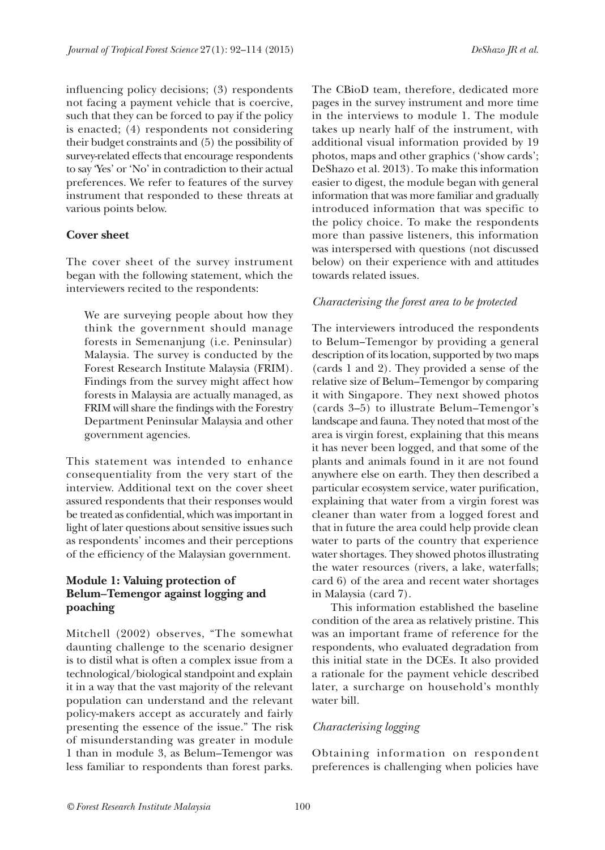influencing policy decisions; (3) respondents not facing a payment vehicle that is coercive, such that they can be forced to pay if the policy is enacted; (4) respondents not considering their budget constraints and (5) the possibility of survey-related effects that encourage respondents to say 'Yes' or 'No' in contradiction to their actual preferences. We refer to features of the survey instrument that responded to these threats at various points below.

### **Cover sheet**

The cover sheet of the survey instrument began with the following statement, which the interviewers recited to the respondents:

We are surveying people about how they think the government should manage forests in Semenanjung (i.e. Peninsular) Malaysia. The survey is conducted by the Forest Research Institute Malaysia (FRIM). Findings from the survey might affect how forests in Malaysia are actually managed, as FRIM will share the findings with the Forestry Department Peninsular Malaysia and other government agencies.

This statement was intended to enhance consequentiality from the very start of the interview. Additional text on the cover sheet assured respondents that their responses would be treated as confidential, which was important in light of later questions about sensitive issues such as respondents' incomes and their perceptions of the efficiency of the Malaysian government.

# **Module 1: Valuing protection of Belum–Temengor against logging and poaching**

Mitchell (2002) observes, "The somewhat daunting challenge to the scenario designer is to distil what is often a complex issue from a technological/biological standpoint and explain it in a way that the vast majority of the relevant population can understand and the relevant policy-makers accept as accurately and fairly presenting the essence of the issue." The risk of misunderstanding was greater in module 1 than in module 3, as Belum–Temengor was less familiar to respondents than forest parks.

The CBioD team, therefore, dedicated more pages in the survey instrument and more time in the interviews to module 1. The module takes up nearly half of the instrument, with additional visual information provided by 19 photos, maps and other graphics ('show cards'; DeShazo et al. 2013). To make this information easier to digest, the module began with general information that was more familiar and gradually introduced information that was specific to the policy choice. To make the respondents more than passive listeners, this information was interspersed with questions (not discussed below) on their experience with and attitudes towards related issues.

# *Characterising the forest area to be protected*

The interviewers introduced the respondents to Belum–Temengor by providing a general description of its location, supported by two maps (cards 1 and 2). They provided a sense of the relative size of Belum–Temengor by comparing it with Singapore. They next showed photos (cards 3–5) to illustrate Belum–Temengor's landscape and fauna. They noted that most of the area is virgin forest, explaining that this means it has never been logged, and that some of the plants and animals found in it are not found anywhere else on earth. They then described a particular ecosystem service, water purification, explaining that water from a virgin forest was cleaner than water from a logged forest and that in future the area could help provide clean water to parts of the country that experience water shortages. They showed photos illustrating the water resources (rivers, a lake, waterfalls; card 6) of the area and recent water shortages in Malaysia (card 7).

This information established the baseline condition of the area as relatively pristine. This was an important frame of reference for the respondents, who evaluated degradation from this initial state in the DCEs. It also provided a rationale for the payment vehicle described later, a surcharge on household's monthly water bill.

# *Characterising logging*

Obtaining information on respondent preferences is challenging when policies have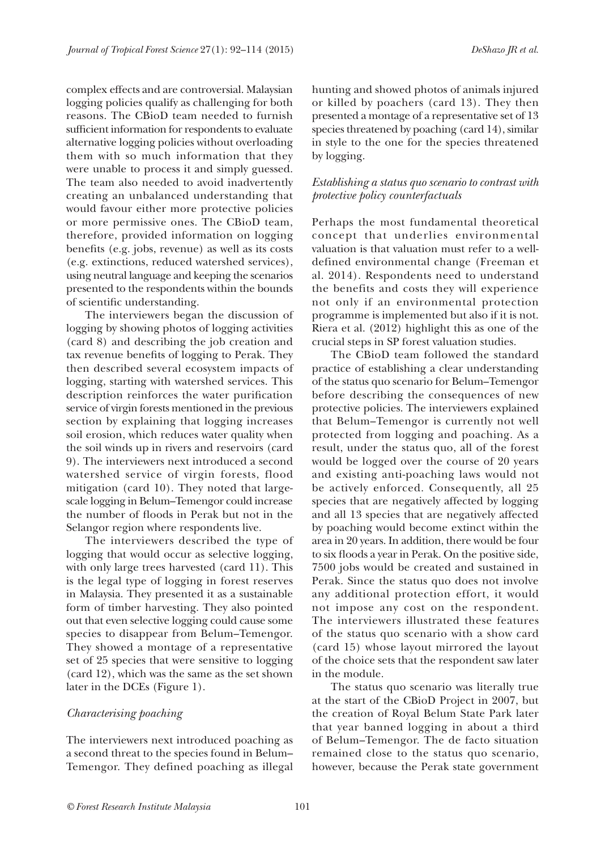complex effects and are controversial. Malaysian logging policies qualify as challenging for both reasons. The CBioD team needed to furnish sufficient information for respondents to evaluate alternative logging policies without overloading them with so much information that they were unable to process it and simply guessed. The team also needed to avoid inadvertently creating an unbalanced understanding that would favour either more protective policies or more permissive ones. The CBioD team, therefore, provided information on logging benefits (e.g. jobs, revenue) as well as its costs (e.g. extinctions, reduced watershed services), using neutral language and keeping the scenarios presented to the respondents within the bounds of scientific understanding.

The interviewers began the discussion of logging by showing photos of logging activities (card 8) and describing the job creation and tax revenue benefits of logging to Perak. They then described several ecosystem impacts of logging, starting with watershed services. This description reinforces the water purification service of virgin forests mentioned in the previous section by explaining that logging increases soil erosion, which reduces water quality when the soil winds up in rivers and reservoirs (card 9). The interviewers next introduced a second watershed service of virgin forests, flood mitigation (card 10). They noted that largescale logging in Belum–Temengor could increase the number of floods in Perak but not in the Selangor region where respondents live.

The interviewers described the type of logging that would occur as selective logging, with only large trees harvested (card 11). This is the legal type of logging in forest reserves in Malaysia. They presented it as a sustainable form of timber harvesting. They also pointed out that even selective logging could cause some species to disappear from Belum–Temengor. They showed a montage of a representative set of 25 species that were sensitive to logging (card 12), which was the same as the set shown later in the DCEs (Figure 1).

#### *Characterising poaching*

The interviewers next introduced poaching as a second threat to the species found in Belum– Temengor. They defined poaching as illegal hunting and showed photos of animals injured or killed by poachers (card 13). They then presented a montage of a representative set of 13 species threatened by poaching (card 14), similar in style to the one for the species threatened by logging.

### *Establishing a status quo scenario to contrast with protective policy counterfactuals*

Perhaps the most fundamental theoretical concept that underlies environmental valuation is that valuation must refer to a welldefined environmental change (Freeman et al. 2014). Respondents need to understand the benefits and costs they will experience not only if an environmental protection programme is implemented but also if it is not. Riera et al. (2012) highlight this as one of the crucial steps in SP forest valuation studies.

The CBioD team followed the standard practice of establishing a clear understanding of the status quo scenario for Belum–Temengor before describing the consequences of new protective policies. The interviewers explained that Belum–Temengor is currently not well protected from logging and poaching. As a result, under the status quo, all of the forest would be logged over the course of 20 years and existing anti-poaching laws would not be actively enforced. Consequently, all 25 species that are negatively affected by logging and all 13 species that are negatively affected by poaching would become extinct within the area in 20 years. In addition, there would be four to six floods a year in Perak. On the positive side, 7500 jobs would be created and sustained in Perak. Since the status quo does not involve any additional protection effort, it would not impose any cost on the respondent. The interviewers illustrated these features of the status quo scenario with a show card (card 15) whose layout mirrored the layout of the choice sets that the respondent saw later in the module.

The status quo scenario was literally true at the start of the CBioD Project in 2007, but the creation of Royal Belum State Park later that year banned logging in about a third of Belum–Temengor. The de facto situation remained close to the status quo scenario, however, because the Perak state government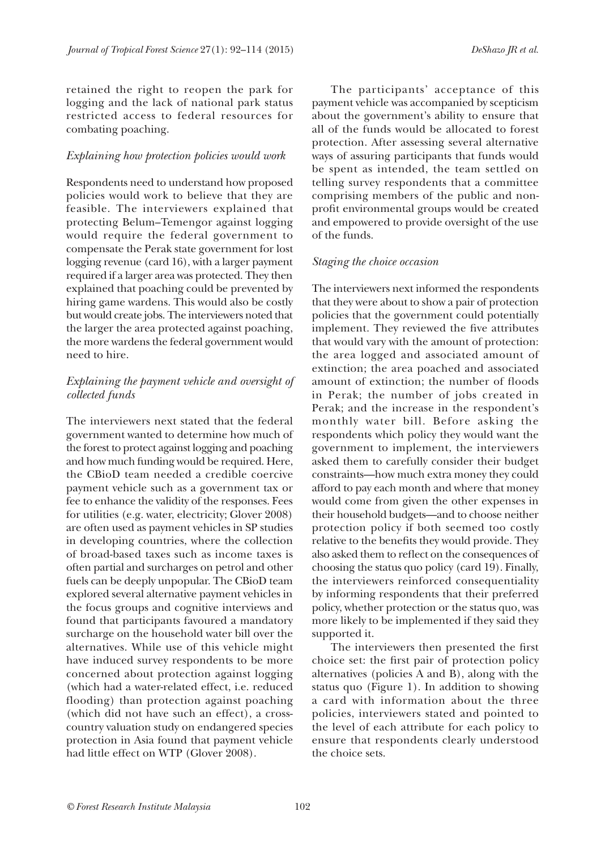retained the right to reopen the park for logging and the lack of national park status restricted access to federal resources for combating poaching.

# *Explaining how protection policies would work*

Respondents need to understand how proposed policies would work to believe that they are feasible. The interviewers explained that protecting Belum–Temengor against logging would require the federal government to compensate the Perak state government for lost logging revenue (card 16), with a larger payment required if a larger area was protected. They then explained that poaching could be prevented by hiring game wardens. This would also be costly but would create jobs. The interviewers noted that the larger the area protected against poaching, the more wardens the federal government would need to hire.

# *Explaining the payment vehicle and oversight of collected funds*

The interviewers next stated that the federal government wanted to determine how much of the forest to protect against logging and poaching and how much funding would be required. Here, the CBioD team needed a credible coercive payment vehicle such as a government tax or fee to enhance the validity of the responses. Fees for utilities (e.g. water, electricity; Glover 2008) are often used as payment vehicles in SP studies in developing countries, where the collection of broad-based taxes such as income taxes is often partial and surcharges on petrol and other fuels can be deeply unpopular. The CBioD team explored several alternative payment vehicles in the focus groups and cognitive interviews and found that participants favoured a mandatory surcharge on the household water bill over the alternatives. While use of this vehicle might have induced survey respondents to be more concerned about protection against logging (which had a water-related effect, i.e. reduced flooding) than protection against poaching (which did not have such an effect), a crosscountry valuation study on endangered species protection in Asia found that payment vehicle had little effect on WTP (Glover 2008).

The participants' acceptance of this payment vehicle was accompanied by scepticism about the government's ability to ensure that all of the funds would be allocated to forest protection. After assessing several alternative ways of assuring participants that funds would be spent as intended, the team settled on telling survey respondents that a committee comprising members of the public and nonprofit environmental groups would be created and empowered to provide oversight of the use of the funds.

# *Staging the choice occasion*

The interviewers next informed the respondents that they were about to show a pair of protection policies that the government could potentially implement. They reviewed the five attributes that would vary with the amount of protection: the area logged and associated amount of extinction; the area poached and associated amount of extinction; the number of floods in Perak; the number of jobs created in Perak; and the increase in the respondent's monthly water bill. Before asking the respondents which policy they would want the government to implement, the interviewers asked them to carefully consider their budget constraints—how much extra money they could afford to pay each month and where that money would come from given the other expenses in their household budgets—and to choose neither protection policy if both seemed too costly relative to the benefits they would provide. They also asked them to reflect on the consequences of choosing the status quo policy (card 19). Finally, the interviewers reinforced consequentiality by informing respondents that their preferred policy, whether protection or the status quo, was more likely to be implemented if they said they supported it.

The interviewers then presented the first choice set: the first pair of protection policy alternatives (policies A and B), along with the status quo (Figure 1). In addition to showing a card with information about the three policies, interviewers stated and pointed to the level of each attribute for each policy to ensure that respondents clearly understood the choice sets.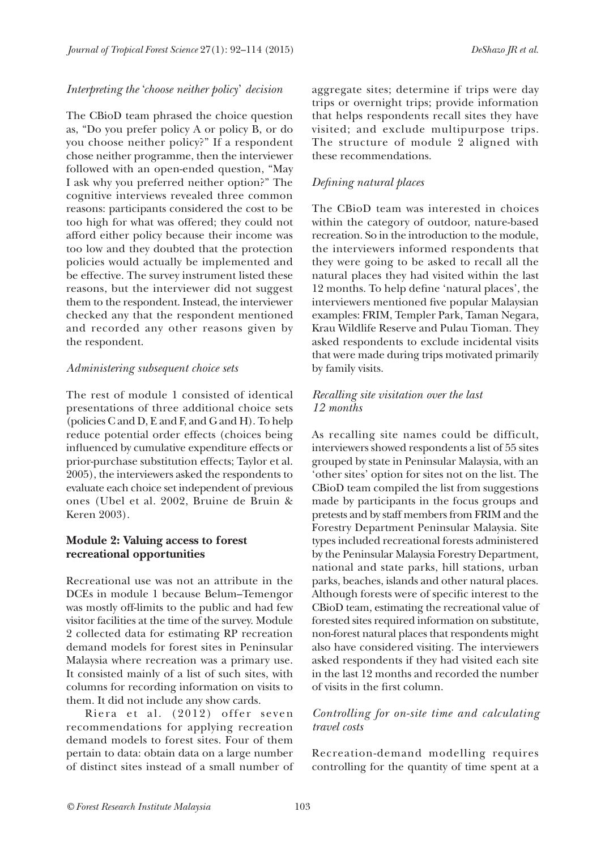### *Interpreting the* '*choose neither policy*' *decision*

The CBioD team phrased the choice question as, "Do you prefer policy A or policy B, or do you choose neither policy?" If a respondent chose neither programme, then the interviewer followed with an open-ended question, "May I ask why you preferred neither option?" The cognitive interviews revealed three common reasons: participants considered the cost to be too high for what was offered; they could not afford either policy because their income was too low and they doubted that the protection policies would actually be implemented and be effective. The survey instrument listed these reasons, but the interviewer did not suggest them to the respondent. Instead, the interviewer checked any that the respondent mentioned and recorded any other reasons given by the respondent.

### *Administering subsequent choice sets*

The rest of module 1 consisted of identical presentations of three additional choice sets (policies C and D, E and F, and G and H). To help reduce potential order effects (choices being influenced by cumulative expenditure effects or prior-purchase substitution effects; Taylor et al. 2005), the interviewers asked the respondents to evaluate each choice set independent of previous ones (Ubel et al. 2002, Bruine de Bruin & Keren 2003).

# **Module 2: Valuing access to forest recreational opportunities**

Recreational use was not an attribute in the DCEs in module 1 because Belum–Temengor was mostly off-limits to the public and had few visitor facilities at the time of the survey. Module 2 collected data for estimating RP recreation demand models for forest sites in Peninsular Malaysia where recreation was a primary use. It consisted mainly of a list of such sites, with columns for recording information on visits to them. It did not include any show cards.

Riera et al. (2012) offer seven recommendations for applying recreation demand models to forest sites. Four of them pertain to data: obtain data on a large number of distinct sites instead of a small number of aggregate sites; determine if trips were day trips or overnight trips; provide information that helps respondents recall sites they have visited; and exclude multipurpose trips. The structure of module 2 aligned with these recommendations.

# *Defining natural places*

The CBioD team was interested in choices within the category of outdoor, nature-based recreation. So in the introduction to the module, the interviewers informed respondents that they were going to be asked to recall all the natural places they had visited within the last 12 months. To help define 'natural places', the interviewers mentioned five popular Malaysian examples: FRIM, Templer Park, Taman Negara, Krau Wildlife Reserve and Pulau Tioman. They asked respondents to exclude incidental visits that were made during trips motivated primarily by family visits.

# *Recalling site visitation over the last 12 months*

As recalling site names could be difficult, interviewers showed respondents a list of 55 sites grouped by state in Peninsular Malaysia, with an 'other sites' option for sites not on the list. The CBioD team compiled the list from suggestions made by participants in the focus groups and pretests and by staff members from FRIM and the Forestry Department Peninsular Malaysia. Site types included recreational forests administered by the Peninsular Malaysia Forestry Department, national and state parks, hill stations, urban parks, beaches, islands and other natural places. Although forests were of specific interest to the CBioD team, estimating the recreational value of forested sites required information on substitute, non-forest natural places that respondents might also have considered visiting. The interviewers asked respondents if they had visited each site in the last 12 months and recorded the number of visits in the first column.

# *Controlling for on-site time and calculating travel costs*

Recreation-demand modelling requires controlling for the quantity of time spent at a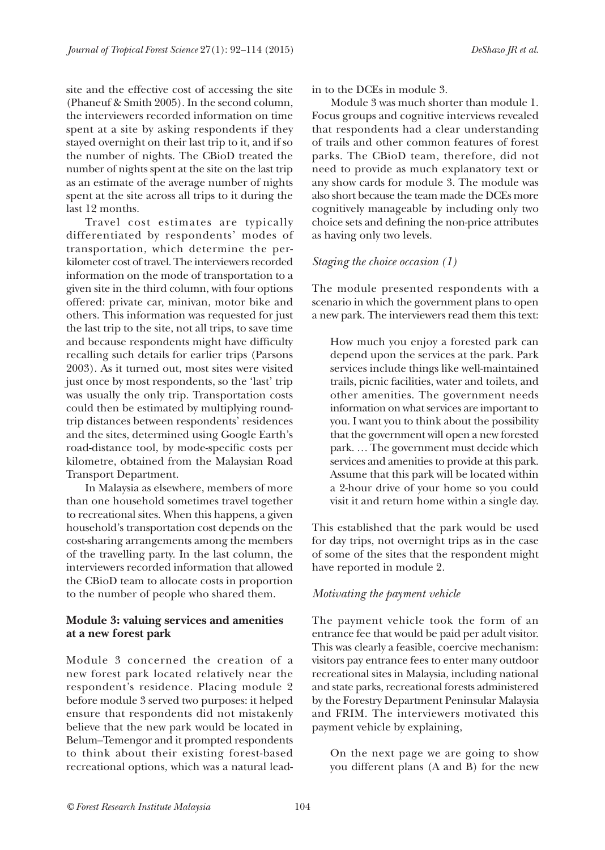site and the effective cost of accessing the site (Phaneuf & Smith 2005). In the second column, the interviewers recorded information on time spent at a site by asking respondents if they stayed overnight on their last trip to it, and if so the number of nights. The CBioD treated the number of nights spent at the site on the last trip as an estimate of the average number of nights spent at the site across all trips to it during the last 12 months.

Travel cost estimates are typically differentiated by respondents' modes of transportation, which determine the perkilometer cost of travel. The interviewers recorded information on the mode of transportation to a given site in the third column, with four options offered: private car, minivan, motor bike and others. This information was requested for just the last trip to the site, not all trips, to save time and because respondents might have difficulty recalling such details for earlier trips (Parsons 2003). As it turned out, most sites were visited just once by most respondents, so the 'last' trip was usually the only trip. Transportation costs could then be estimated by multiplying roundtrip distances between respondents' residences and the sites, determined using Google Earth's road-distance tool, by mode-specific costs per kilometre, obtained from the Malaysian Road Transport Department.

In Malaysia as elsewhere, members of more than one household sometimes travel together to recreational sites. When this happens, a given household's transportation cost depends on the cost-sharing arrangements among the members of the travelling party. In the last column, the interviewers recorded information that allowed the CBioD team to allocate costs in proportion to the number of people who shared them.

# **Module 3: valuing services and amenities at a new forest park**

Module 3 concerned the creation of a new forest park located relatively near the respondent's residence. Placing module 2 before module 3 served two purposes: it helped ensure that respondents did not mistakenly believe that the new park would be located in Belum–Temengor and it prompted respondents to think about their existing forest-based recreational options, which was a natural leadin to the DCEs in module 3.

Module 3 was much shorter than module 1. Focus groups and cognitive interviews revealed that respondents had a clear understanding of trails and other common features of forest parks. The CBioD team, therefore, did not need to provide as much explanatory text or any show cards for module 3. The module was also short because the team made the DCEs more cognitively manageable by including only two choice sets and defining the non-price attributes as having only two levels.

#### *Staging the choice occasion (1)*

The module presented respondents with a scenario in which the government plans to open a new park. The interviewers read them this text:

How much you enjoy a forested park can depend upon the services at the park. Park services include things like well-maintained trails, picnic facilities, water and toilets, and other amenities. The government needs information on what services are important to you. I want you to think about the possibility that the government will open a new forested park. … The government must decide which services and amenities to provide at this park. Assume that this park will be located within a 2-hour drive of your home so you could visit it and return home within a single day.

This established that the park would be used for day trips, not overnight trips as in the case of some of the sites that the respondent might have reported in module 2.

#### *Motivating the payment vehicle*

The payment vehicle took the form of an entrance fee that would be paid per adult visitor. This was clearly a feasible, coercive mechanism: visitors pay entrance fees to enter many outdoor recreational sites in Malaysia, including national and state parks, recreational forests administered by the Forestry Department Peninsular Malaysia and FRIM. The interviewers motivated this payment vehicle by explaining,

On the next page we are going to show you different plans (A and B) for the new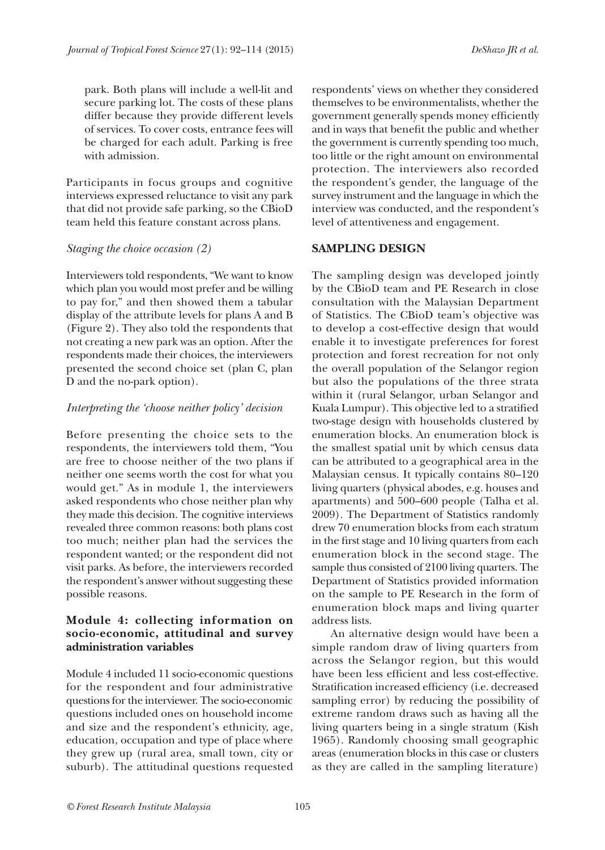park. Both plans will include a well-lit and secure parking lot. The costs of these plans differ because they provide different levels of services. To cover costs, entrance fees will be charged for each adult. Parking is free with admission.

Participants in focus groups and cognitive interviews expressed reluctance to visit any park that did not provide safe parking, so the CBioD team held this feature constant across plans.

# *Staging the choice occasion (2)*

Interviewers told respondents, "We want to know which plan you would most prefer and be willing to pay for," and then showed them a tabular display of the attribute levels for plans A and B (Figure 2). They also told the respondents that not creating a new park was an option. After the respondents made their choices, the interviewers presented the second choice set (plan C, plan D and the no-park option).

# *Interpreting the 'choose neither policy' decision*

Before presenting the choice sets to the respondents, the interviewers told them, "You are free to choose neither of the two plans if neither one seems worth the cost for what you would get." As in module 1, the interviewers asked respondents who chose neither plan why they made this decision. The cognitive interviews revealed three common reasons: both plans cost too much; neither plan had the services the respondent wanted; or the respondent did not visit parks. As before, the interviewers recorded the respondent's answer without suggesting these possible reasons.

# **Module 4: collecting information on socio-economic, attitudinal and survey administration variables**

Module 4 included 11 socio-economic questions for the respondent and four administrative questions for the interviewer. The socio-economic questions included ones on household income and size and the respondent's ethnicity, age, education, occupation and type of place where they grew up (rural area, small town, city or suburb). The attitudinal questions requested

respondents' views on whether they considered themselves to be environmentalists, whether the government generally spends money efficiently and in ways that benefit the public and whether the government is currently spending too much, too little or the right amount on environmental protection. The interviewers also recorded the respondent's gender, the language of the survey instrument and the language in which the interview was conducted, and the respondent's level of attentiveness and engagement.

# **SAMPLING DESIGN**

The sampling design was developed jointly by the CBioD team and PE Research in close consultation with the Malaysian Department of Statistics. The CBioD team's objective was to develop a cost-effective design that would enable it to investigate preferences for forest protection and forest recreation for not only the overall population of the Selangor region but also the populations of the three strata within it (rural Selangor, urban Selangor and Kuala Lumpur). This objective led to a stratified two-stage design with households clustered by enumeration blocks. An enumeration block is the smallest spatial unit by which census data can be attributed to a geographical area in the Malaysian census. It typically contains 80–120 living quarters (physical abodes, e.g. houses and apartments) and 500–600 people (Talha et al. 2009). The Department of Statistics randomly drew 70 enumeration blocks from each stratum in the first stage and 10 living quarters from each enumeration block in the second stage. The sample thus consisted of 2100 living quarters. The Department of Statistics provided information on the sample to PE Research in the form of enumeration block maps and living quarter address lists.

An alternative design would have been a simple random draw of living quarters from across the Selangor region, but this would have been less efficient and less cost-effective. Stratification increased efficiency (i.e. decreased sampling error) by reducing the possibility of extreme random draws such as having all the living quarters being in a single stratum (Kish 1965). Randomly choosing small geographic areas (enumeration blocks in this case or clusters as they are called in the sampling literature)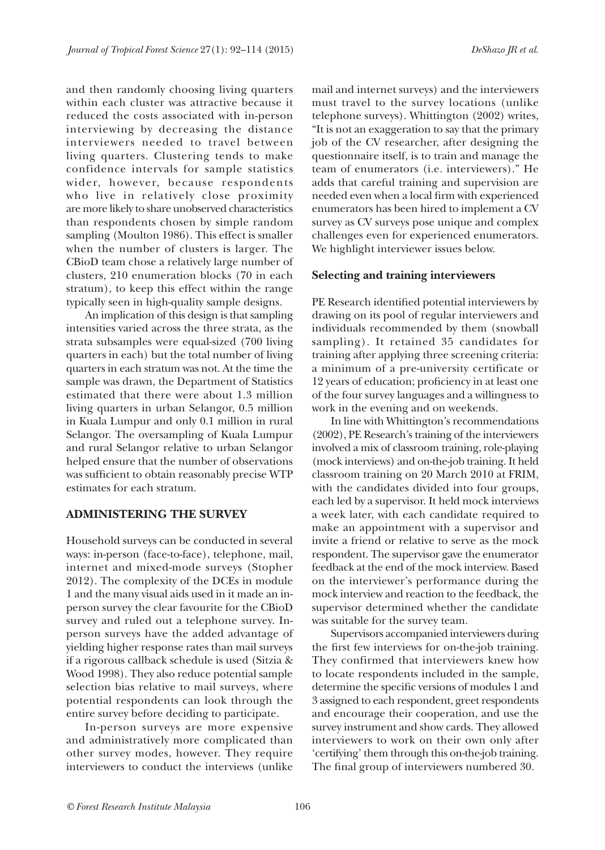and then randomly choosing living quarters within each cluster was attractive because it reduced the costs associated with in-person interviewing by decreasing the distance interviewers needed to travel between living quarters. Clustering tends to make confidence intervals for sample statistics wider, however, because respondents who live in relatively close proximity are more likely to share unobserved characteristics than respondents chosen by simple random sampling (Moulton 1986). This effect is smaller when the number of clusters is larger. The CBioD team chose a relatively large number of clusters, 210 enumeration blocks (70 in each stratum), to keep this effect within the range typically seen in high-quality sample designs.

An implication of this design is that sampling intensities varied across the three strata, as the strata subsamples were equal-sized (700 living quarters in each) but the total number of living quarters in each stratum was not. At the time the sample was drawn, the Department of Statistics estimated that there were about 1.3 million living quarters in urban Selangor, 0.5 million in Kuala Lumpur and only 0.1 million in rural Selangor. The oversampling of Kuala Lumpur and rural Selangor relative to urban Selangor helped ensure that the number of observations was sufficient to obtain reasonably precise WTP estimates for each stratum.

### **ADMINISTERING THE SURVEY**

Household surveys can be conducted in several ways: in-person (face-to-face), telephone, mail, internet and mixed-mode surveys (Stopher 2012). The complexity of the DCEs in module 1 and the many visual aids used in it made an inperson survey the clear favourite for the CBioD survey and ruled out a telephone survey. Inperson surveys have the added advantage of yielding higher response rates than mail surveys if a rigorous callback schedule is used (Sitzia & Wood 1998). They also reduce potential sample selection bias relative to mail surveys, where potential respondents can look through the entire survey before deciding to participate.

In-person surveys are more expensive and administratively more complicated than other survey modes, however. They require interviewers to conduct the interviews (unlike

mail and internet surveys) and the interviewers must travel to the survey locations (unlike telephone surveys). Whittington (2002) writes, "It is not an exaggeration to say that the primary job of the CV researcher, after designing the questionnaire itself, is to train and manage the team of enumerators (i.e. interviewers)." He adds that careful training and supervision are needed even when a local firm with experienced enumerators has been hired to implement a CV survey as CV surveys pose unique and complex challenges even for experienced enumerators. We highlight interviewer issues below.

#### **Selecting and training interviewers**

PE Research identified potential interviewers by drawing on its pool of regular interviewers and individuals recommended by them (snowball sampling). It retained 35 candidates for training after applying three screening criteria: a minimum of a pre-university certificate or 12 years of education; proficiency in at least one of the four survey languages and a willingness to work in the evening and on weekends.

In line with Whittington's recommendations (2002), PE Research's training of the interviewers involved a mix of classroom training, role-playing (mock interviews) and on-the-job training. It held classroom training on 20 March 2010 at FRIM, with the candidates divided into four groups, each led by a supervisor. It held mock interviews a week later, with each candidate required to make an appointment with a supervisor and invite a friend or relative to serve as the mock respondent. The supervisor gave the enumerator feedback at the end of the mock interview. Based on the interviewer's performance during the mock interview and reaction to the feedback, the supervisor determined whether the candidate was suitable for the survey team.

Supervisors accompanied interviewers during the first few interviews for on-the-job training. They confirmed that interviewers knew how to locate respondents included in the sample, determine the specific versions of modules 1 and 3 assigned to each respondent, greet respondents and encourage their cooperation, and use the survey instrument and show cards. They allowed interviewers to work on their own only after 'certifying' them through this on-the-job training. The final group of interviewers numbered 30.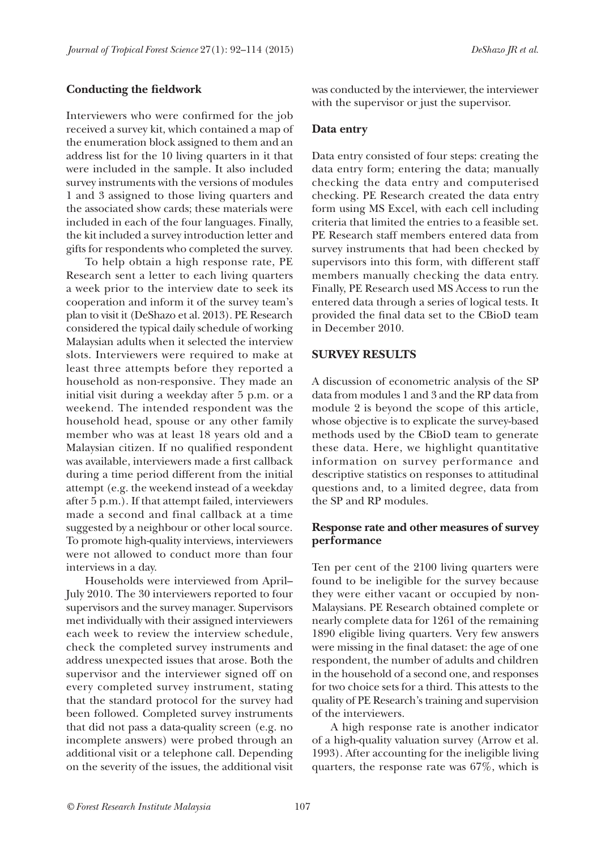#### **Conducting the fieldwork**

Interviewers who were confirmed for the job received a survey kit, which contained a map of the enumeration block assigned to them and an address list for the 10 living quarters in it that were included in the sample. It also included survey instruments with the versions of modules 1 and 3 assigned to those living quarters and the associated show cards; these materials were included in each of the four languages. Finally, the kit included a survey introduction letter and gifts for respondents who completed the survey.

To help obtain a high response rate, PE Research sent a letter to each living quarters a week prior to the interview date to seek its cooperation and inform it of the survey team's plan to visit it (DeShazo et al. 2013). PE Research considered the typical daily schedule of working Malaysian adults when it selected the interview slots. Interviewers were required to make at least three attempts before they reported a household as non-responsive. They made an initial visit during a weekday after 5 p.m. or a weekend. The intended respondent was the household head, spouse or any other family member who was at least 18 years old and a Malaysian citizen. If no qualified respondent was available, interviewers made a first callback during a time period different from the initial attempt (e.g. the weekend instead of a weekday after 5 p.m.). If that attempt failed, interviewers made a second and final callback at a time suggested by a neighbour or other local source. To promote high-quality interviews, interviewers were not allowed to conduct more than four interviews in a day.

Households were interviewed from April– July 2010. The 30 interviewers reported to four supervisors and the survey manager. Supervisors met individually with their assigned interviewers each week to review the interview schedule, check the completed survey instruments and address unexpected issues that arose. Both the supervisor and the interviewer signed off on every completed survey instrument, stating that the standard protocol for the survey had been followed. Completed survey instruments that did not pass a data-quality screen (e.g. no incomplete answers) were probed through an additional visit or a telephone call. Depending on the severity of the issues, the additional visit

was conducted by the interviewer, the interviewer with the supervisor or just the supervisor.

#### **Data entry**

Data entry consisted of four steps: creating the data entry form; entering the data; manually checking the data entry and computerised checking. PE Research created the data entry form using MS Excel, with each cell including criteria that limited the entries to a feasible set. PE Research staff members entered data from survey instruments that had been checked by supervisors into this form, with different staff members manually checking the data entry. Finally, PE Research used MS Access to run the entered data through a series of logical tests. It provided the final data set to the CBioD team in December 2010.

#### **SURVEY RESULTS**

A discussion of econometric analysis of the SP data from modules 1 and 3 and the RP data from module 2 is beyond the scope of this article, whose objective is to explicate the survey-based methods used by the CBioD team to generate these data. Here, we highlight quantitative information on survey performance and descriptive statistics on responses to attitudinal questions and, to a limited degree, data from the SP and RP modules.

# **Response rate and other measures of survey performance**

Ten per cent of the 2100 living quarters were found to be ineligible for the survey because they were either vacant or occupied by non-Malaysians. PE Research obtained complete or nearly complete data for 1261 of the remaining 1890 eligible living quarters. Very few answers were missing in the final dataset: the age of one respondent, the number of adults and children in the household of a second one, and responses for two choice sets for a third. This attests to the quality of PE Research's training and supervision of the interviewers.

A high response rate is another indicator of a high-quality valuation survey (Arrow et al. 1993). After accounting for the ineligible living quarters, the response rate was 67%, which is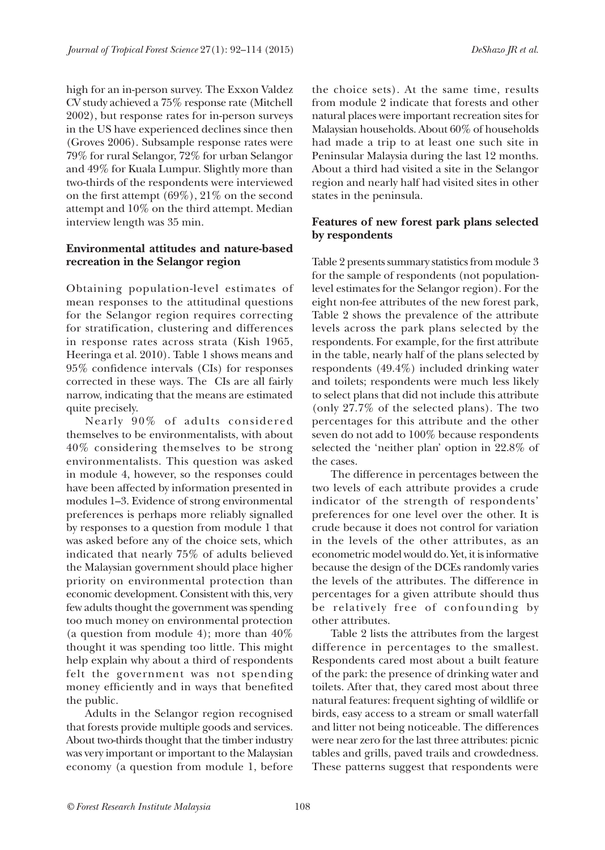high for an in-person survey. The Exxon Valdez CV study achieved a 75% response rate (Mitchell 2002), but response rates for in-person surveys in the US have experienced declines since then (Groves 2006). Subsample response rates were 79% for rural Selangor, 72% for urban Selangor and 49% for Kuala Lumpur. Slightly more than two-thirds of the respondents were interviewed on the first attempt (69%), 21% on the second attempt and 10% on the third attempt. Median interview length was 35 min.

# **Environmental attitudes and nature-based recreation in the Selangor region**

Obtaining population-level estimates of mean responses to the attitudinal questions for the Selangor region requires correcting for stratification, clustering and differences in response rates across strata (Kish 1965, Heeringa et al. 2010). Table 1 shows means and 95% confidence intervals (CIs) for responses corrected in these ways. The CIs are all fairly narrow, indicating that the means are estimated quite precisely.

Nearly 90% of adults considered themselves to be environmentalists, with about 40% considering themselves to be strong environmentalists. This question was asked in module 4, however, so the responses could have been affected by information presented in modules 1–3. Evidence of strong environmental preferences is perhaps more reliably signalled by responses to a question from module 1 that was asked before any of the choice sets, which indicated that nearly 75% of adults believed the Malaysian government should place higher priority on environmental protection than economic development. Consistent with this, very few adults thought the government was spending too much money on environmental protection (a question from module 4); more than 40% thought it was spending too little. This might help explain why about a third of respondents felt the government was not spending money efficiently and in ways that benefited the public.

Adults in the Selangor region recognised that forests provide multiple goods and services. About two-thirds thought that the timber industry was very important or important to the Malaysian economy (a question from module 1, before

the choice sets). At the same time, results from module 2 indicate that forests and other natural places were important recreation sites for Malaysian households. About 60% of households had made a trip to at least one such site in Peninsular Malaysia during the last 12 months. About a third had visited a site in the Selangor region and nearly half had visited sites in other states in the peninsula.

# **Features of new forest park plans selected by respondents**

Table 2 presents summary statistics from module 3 for the sample of respondents (not populationlevel estimates for the Selangor region). For the eight non-fee attributes of the new forest park, Table 2 shows the prevalence of the attribute levels across the park plans selected by the respondents. For example, for the first attribute in the table, nearly half of the plans selected by respondents (49.4%) included drinking water and toilets; respondents were much less likely to select plans that did not include this attribute (only 27.7% of the selected plans). The two percentages for this attribute and the other seven do not add to 100% because respondents selected the 'neither plan' option in 22.8% of the cases.

The difference in percentages between the two levels of each attribute provides a crude indicator of the strength of respondents' preferences for one level over the other. It is crude because it does not control for variation in the levels of the other attributes, as an econometric model would do. Yet, it is informative because the design of the DCEs randomly varies the levels of the attributes. The difference in percentages for a given attribute should thus be relatively free of confounding by other attributes.

Table 2 lists the attributes from the largest difference in percentages to the smallest. Respondents cared most about a built feature of the park: the presence of drinking water and toilets. After that, they cared most about three natural features: frequent sighting of wildlife or birds, easy access to a stream or small waterfall and litter not being noticeable. The differences were near zero for the last three attributes: picnic tables and grills, paved trails and crowdedness. These patterns suggest that respondents were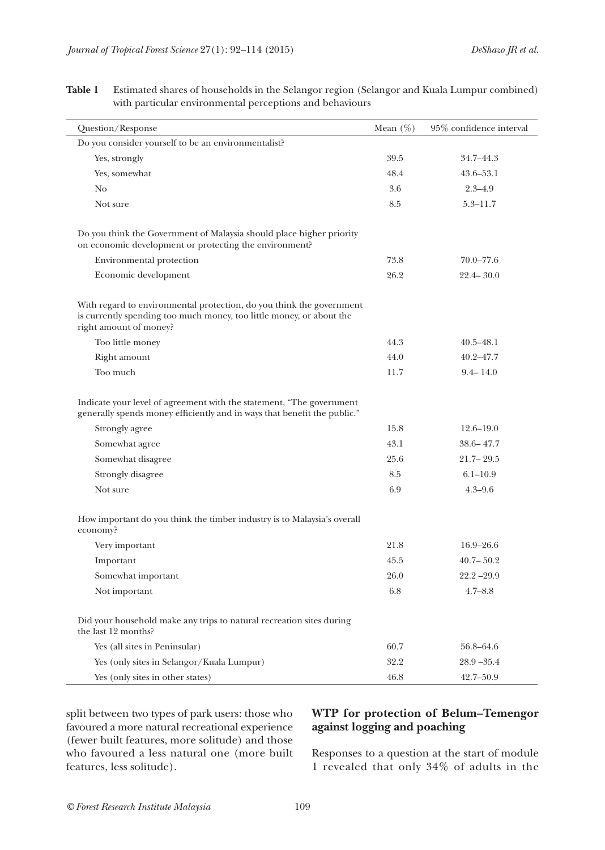$\overline{\phantom{0}}$ 

| Question/Response                                                                                                                                                                                                      | Mean $(\%)$          | 95% confidence interval                        |
|------------------------------------------------------------------------------------------------------------------------------------------------------------------------------------------------------------------------|----------------------|------------------------------------------------|
| Do you consider yourself to be an environmentalist?                                                                                                                                                                    |                      |                                                |
| Yes, strongly                                                                                                                                                                                                          | 39.5                 | 34.7–44.3                                      |
| Yes, somewhat                                                                                                                                                                                                          | 48.4                 | $43.6 - 53.1$                                  |
| No                                                                                                                                                                                                                     | 3.6                  | $2.3 - 4.9$                                    |
| Not sure                                                                                                                                                                                                               | 8.5                  | $5.3 - 11.7$                                   |
| Do you think the Government of Malaysia should place higher priority<br>on economic development or protecting the environment?<br>Environmental protection                                                             | 73.8                 | $70.0 - 77.6$                                  |
| Economic development                                                                                                                                                                                                   | 26.2                 | $22.4 - 30.0$                                  |
| With regard to environmental protection, do you think the government<br>is currently spending too much money, too little money, or about the<br>right amount of money?<br>Too little money<br>Right amount<br>Too much | 44.3<br>44.0<br>11.7 | $40.5 - 48.1$<br>$40.2 - 47.7$<br>$9.4 - 14.0$ |
| Indicate your level of agreement with the statement, "The government<br>generally spends money efficiently and in ways that benefit the public."                                                                       |                      |                                                |
| Strongly agree                                                                                                                                                                                                         | 15.8                 | $12.6 - 19.0$                                  |
| Somewhat agree                                                                                                                                                                                                         | 43.1                 | $38.6 - 47.7$                                  |
| Somewhat disagree                                                                                                                                                                                                      | 25.6                 | $21.7 - 29.5$                                  |
| Strongly disagree                                                                                                                                                                                                      | 8.5                  | $6.1 - 10.9$                                   |
| Not sure                                                                                                                                                                                                               | 6.9                  | $4.3 - 9.6$                                    |
| How important do you think the timber industry is to Malaysia's overall<br>economy?                                                                                                                                    |                      |                                                |
| Very important                                                                                                                                                                                                         | 21.8                 | $16.9 - 26.6$                                  |
| Important                                                                                                                                                                                                              | 45.5                 | $40.7 - 50.2$                                  |
| Somewhat important                                                                                                                                                                                                     | 26.0                 | $22.2 - 29.9$                                  |
| Not important                                                                                                                                                                                                          | 6.8                  | $4.7 - 8.8$                                    |
| Did your household make any trips to natural recreation sites during<br>the last 12 months?                                                                                                                            |                      |                                                |
| Yes (all sites in Peninsular)                                                                                                                                                                                          | 60.7                 | 56.8-64.6                                      |
| Yes (only sites in Selangor/Kuala Lumpur)                                                                                                                                                                              | 32.2                 | $28.9 - 35.4$                                  |
| Yes (only sites in other states)                                                                                                                                                                                       | 46.8                 | 42.7-50.9                                      |

**Table 1** Estimated shares of households in the Selangor region (Selangor and Kuala Lumpur combined) with particular environmental perceptions and behaviours

split between two types of park users: those who favoured a more natural recreational experience (fewer built features, more solitude) and those who favoured a less natural one (more built features, less solitude).

# **WTP for protection of Belum–Temengor against logging and poaching**

Responses to a question at the start of module 1 revealed that only 34% of adults in the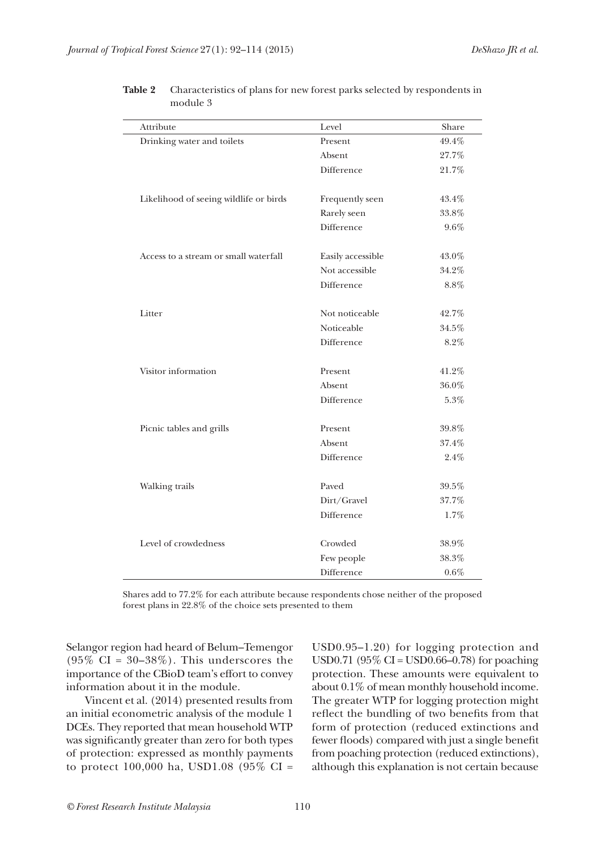| Attribute                              | Level             | Share    |
|----------------------------------------|-------------------|----------|
| Drinking water and toilets             | Present           | 49.4%    |
|                                        | Absent            | 27.7%    |
|                                        | Difference        | 21.7%    |
|                                        |                   |          |
| Likelihood of seeing wildlife or birds | Frequently seen   | 43.4%    |
|                                        | Rarely seen       | 33.8%    |
|                                        | Difference        | 9.6%     |
|                                        |                   |          |
| Access to a stream or small waterfall  | Easily accessible | 43.0%    |
|                                        | Not accessible    | 34.2%    |
|                                        | <b>Difference</b> | 8.8%     |
|                                        |                   |          |
| Litter                                 | Not noticeable    | 42.7%    |
|                                        | Noticeable        | $34.5\%$ |
|                                        | Difference        | 8.2%     |
|                                        |                   |          |
| Visitor information                    | Present           | 41.2%    |
|                                        | Absent            | $36.0\%$ |
|                                        | Difference        | $5.3\%$  |
|                                        |                   |          |
| Picnic tables and grills               | Present           | 39.8%    |
|                                        | Absent            | 37.4%    |
|                                        | Difference        | 2.4%     |
|                                        |                   |          |
| Walking trails                         | Paved             | 39.5%    |
|                                        | Dirt/Gravel       | 37.7%    |
|                                        | Difference        | 1.7%     |
|                                        |                   |          |
| Level of crowdedness                   | Crowded           | $38.9\%$ |
|                                        | Few people        | 38.3%    |
|                                        | Difference        | $0.6\%$  |

| Table 2 | Characteristics of plans for new forest parks selected by respondents in |
|---------|--------------------------------------------------------------------------|
|         | module 3                                                                 |

Shares add to 77.2% for each attribute because respondents chose neither of the proposed forest plans in 22.8% of the choice sets presented to them

Selangor region had heard of Belum–Temengor (95% CI =  $30-38%$ ). This underscores the importance of the CBioD team's effort to convey information about it in the module.

Vincent et al. (2014) presented results from an initial econometric analysis of the module 1 DCEs. They reported that mean household WTP was significantly greater than zero for both types of protection: expressed as monthly payments to protect 100,000 ha, USD1.08 (95% CI =

USD0.95–1.20) for logging protection and USD0.71 (95% CI = USD0.66–0.78) for poaching protection. These amounts were equivalent to about 0.1% of mean monthly household income. The greater WTP for logging protection might reflect the bundling of two benefits from that form of protection (reduced extinctions and fewer floods) compared with just a single benefit from poaching protection (reduced extinctions), although this explanation is not certain because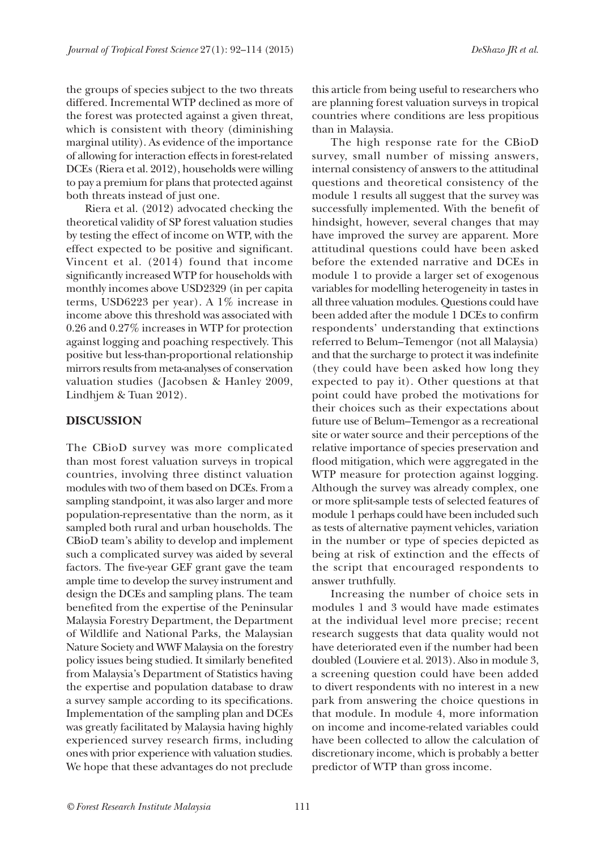the groups of species subject to the two threats differed. Incremental WTP declined as more of the forest was protected against a given threat, which is consistent with theory (diminishing marginal utility). As evidence of the importance of allowing for interaction effects in forest-related DCEs (Riera et al. 2012), households were willing to pay a premium for plans that protected against both threats instead of just one.

Riera et al. (2012) advocated checking the theoretical validity of SP forest valuation studies by testing the effect of income on WTP, with the effect expected to be positive and significant. Vincent et al. (2014) found that income significantly increased WTP for households with monthly incomes above USD2329 (in per capita terms, USD6223 per year). A 1% increase in income above this threshold was associated with 0.26 and 0.27% increases in WTP for protection against logging and poaching respectively. This positive but less-than-proportional relationship mirrors results from meta-analyses of conservation valuation studies (Jacobsen & Hanley 2009, Lindhjem & Tuan 2012).

### **DISCUSSION**

The CBioD survey was more complicated than most forest valuation surveys in tropical countries, involving three distinct valuation modules with two of them based on DCEs. From a sampling standpoint, it was also larger and more population-representative than the norm, as it sampled both rural and urban households. The CBioD team's ability to develop and implement such a complicated survey was aided by several factors. The five-year GEF grant gave the team ample time to develop the survey instrument and design the DCEs and sampling plans. The team benefited from the expertise of the Peninsular Malaysia Forestry Department, the Department of Wildlife and National Parks, the Malaysian Nature Society and WWF Malaysia on the forestry policy issues being studied. It similarly benefited from Malaysia's Department of Statistics having the expertise and population database to draw a survey sample according to its specifications. Implementation of the sampling plan and DCEs was greatly facilitated by Malaysia having highly experienced survey research firms, including ones with prior experience with valuation studies. We hope that these advantages do not preclude

this article from being useful to researchers who are planning forest valuation surveys in tropical countries where conditions are less propitious than in Malaysia.

The high response rate for the CBioD survey, small number of missing answers, internal consistency of answers to the attitudinal questions and theoretical consistency of the module 1 results all suggest that the survey was successfully implemented. With the benefit of hindsight, however, several changes that may have improved the survey are apparent. More attitudinal questions could have been asked before the extended narrative and DCEs in module 1 to provide a larger set of exogenous variables for modelling heterogeneity in tastes in all three valuation modules. Questions could have been added after the module 1 DCEs to confirm respondents' understanding that extinctions referred to Belum–Temengor (not all Malaysia) and that the surcharge to protect it was indefinite (they could have been asked how long they expected to pay it). Other questions at that point could have probed the motivations for their choices such as their expectations about future use of Belum–Temengor as a recreational site or water source and their perceptions of the relative importance of species preservation and flood mitigation, which were aggregated in the WTP measure for protection against logging. Although the survey was already complex, one or more split-sample tests of selected features of module 1 perhaps could have been included such as tests of alternative payment vehicles, variation in the number or type of species depicted as being at risk of extinction and the effects of the script that encouraged respondents to answer truthfully.

Increasing the number of choice sets in modules 1 and 3 would have made estimates at the individual level more precise; recent research suggests that data quality would not have deteriorated even if the number had been doubled (Louviere et al. 2013). Also in module 3, a screening question could have been added to divert respondents with no interest in a new park from answering the choice questions in that module. In module 4, more information on income and income-related variables could have been collected to allow the calculation of discretionary income, which is probably a better predictor of WTP than gross income.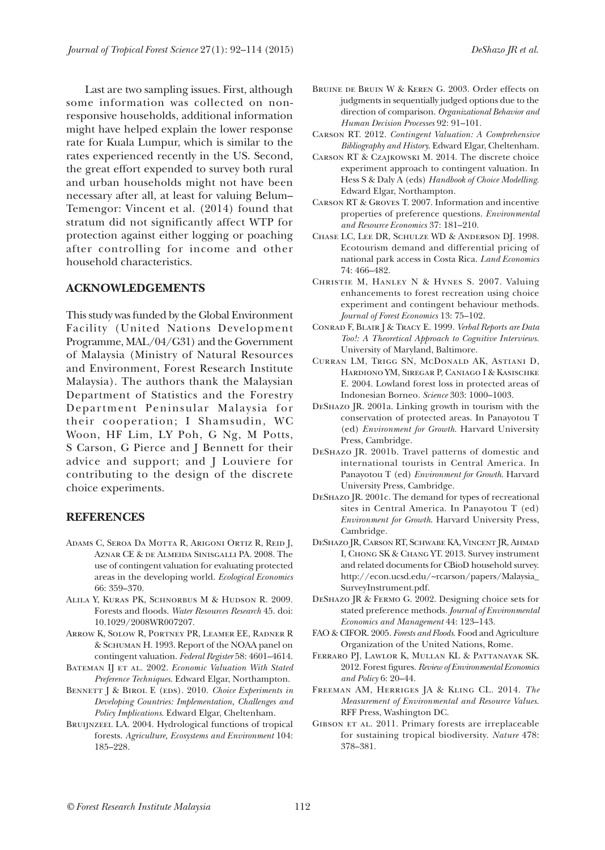Last are two sampling issues. First, although some information was collected on nonresponsive households, additional information might have helped explain the lower response rate for Kuala Lumpur, which is similar to the rates experienced recently in the US. Second, the great effort expended to survey both rural and urban households might not have been necessary after all, at least for valuing Belum– Temengor: Vincent et al. (2014) found that stratum did not significantly affect WTP for protection against either logging or poaching after controlling for income and other household characteristics.

#### **ACKNOWLEDGEMENTS**

This study was funded by the Global Environment Facility (United Nations Development Programme, MAL/04/G31) and the Government of Malaysia (Ministry of Natural Resources and Environment, Forest Research Institute Malaysia). The authors thank the Malaysian Department of Statistics and the Forestry Department Peninsular Malaysia for their cooperation; I Shamsudin, WC Woon, HF Lim, LY Poh, G Ng, M Potts, S Carson, G Pierce and J Bennett for their advice and support; and J Louviere for contributing to the design of the discrete choice experiments.

#### **REFERENCES**

- Adams C, Seroa Da Motta R, Arigoni Ortiz R, Reid J, Aznar CE & de Almeida Sinisgalli PA. 2008. The use of contingent valuation for evaluating protected areas in the developing world. *Ecological Economics* 66: 359–370.
- Alila Y, Kuras PK, Schnorbus M & Hudson R. 2009. Forests and floods. *Water Resources Research* 45. doi: 10.1029/2008WR007207.
- Arrow K, Solow R, Portney PR, Leamer EE, Radner R & Schuman H. 1993. Report of the NOAA panel on contingent valuation. *Federal Register* 58: 4601–4614.
- BATEMAN IJ ET AL. 2002. *Economic Valuation With Stated Preference Techniques*. Edward Elgar, Northampton.
- BENNETT J & BIROL E (EDS). 2010. *Choice Experiments in Developing Countries: Implementation, Challenges and Policy Implications*. Edward Elgar, Cheltenham.
- BRUIJNZEEL LA. 2004. Hydrological functions of tropical forests. *Agriculture, Ecosystems and Environment* 104: 185–228.
- Bruine de Bruin W & Keren G. 2003. Order effects on judgments in sequentially judged options due to the direction of comparison. *Organizational Behavior and Human Decision Processes* 92: 91–101.
- Carson RT. 2012. *Contingent Valuation: A Comprehensive Bibliography and History*. Edward Elgar, Cheltenham.
- Carson RT & Czajkowski M. 2014. The discrete choice experiment approach to contingent valuation. In Hess S & Daly A (eds) *Handbook of Choice Modelling*. Edward Elgar, Northampton.
- Carson RT & Groves T. 2007. Information and incentive properties of preference questions. *Environmental and Resource Economics* 37: 181–210.
- Chase LC, Lee DR, Schulze WD & Anderson DJ. 1998. Ecotourism demand and differential pricing of national park access in Costa Rica. *Land Economics*  $74.466 - 489$
- Christie M, Hanley N & Hynes S. 2007. Valuing enhancements to forest recreation using choice experiment and contingent behaviour methods. *Journal of Forest Economics* 13: 75–102.
- Conrad F, Blair J & Tracy E. 1999. *Verbal Reports are Data Too!: A Theoretical Approach to Cognitive Interviews*. University of Maryland, Baltimore.
- Curran LM, Trigg SN, McDonald AK, Astiani D, Hardiono YM, Siregar P, Caniago I & Kasischke E. 2004. Lowland forest loss in protected areas of Indonesian Borneo. *Science* 303: 1000–1003.
- DeShazo JR. 2001a. Linking growth in tourism with the conservation of protected areas. In Panayotou T (ed) *Environment for Growth*. Harvard University Press, Cambridge.
- DeShazo JR. 2001b. Travel patterns of domestic and international tourists in Central America. In Panayotou T (ed) *Environment for Growth*. Harvard University Press, Cambridge.
- DeShazo JR. 2001c. The demand for types of recreational sites in Central America. In Panayotou T (ed) *Environment for Growth*. Harvard University Press, Cambridge.
- DeShazo JR, Carson RT, Schwabe KA, Vincent JR, Ahmad I, Chong SK & Chang YT. 2013. Survey instrument and related documents for CBioD household survey. http://econ.ucsd.edu/~rcarson/papers/Malaysia\_ SurveyInstrument.pdf.
- DeShazo JR & Fermo G. 2002. Designing choice sets for stated preference methods. *Journal of Environmental Economics and Management* 44: 123–143.
- FAO & CIFOR. 2005. *Forests and Floods.* Food and Agriculture Organization of the United Nations, Rome.
- Ferraro PJ, Lawlor K, Mullan KL & Pattanayak SK. 2012. Forest figures. *Review of Environmental Economics and Policy* 6: 20–44.
- Freeman AM, Herriges JA & Kling CL. 2014. *The Measurement of Environmental and Resource Values*. RFF Press, Washington DC.
- GIBSON ET AL. 2011. Primary forests are irreplaceable for sustaining tropical biodiversity. *Nature* 478: 378–381.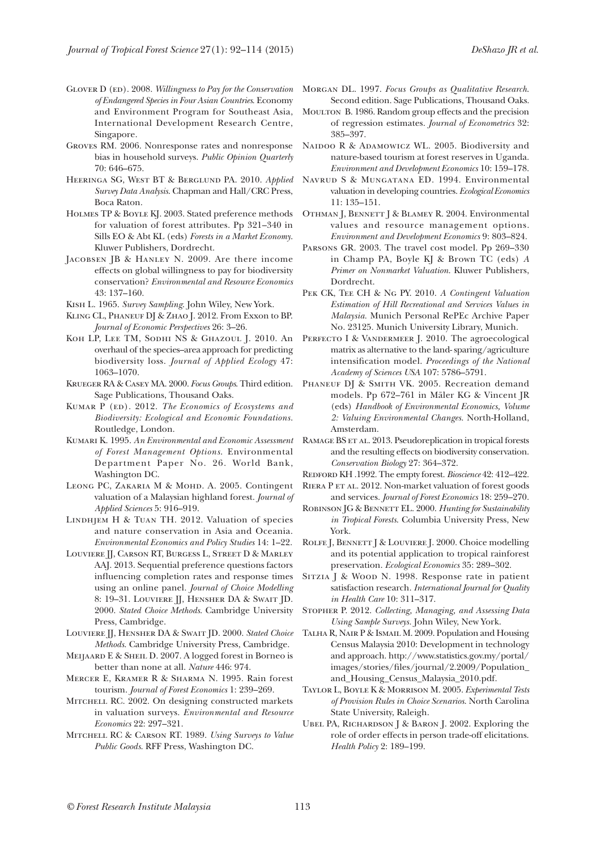- GLOVER D (ED). 2008. *Willingness to Pay for the Conservation of Endangered Species in Four Asian Countries*. Economy and Environment Program for Southeast Asia, International Development Research Centre, Singapore.
- Groves RM. 2006. Nonresponse rates and nonresponse bias in household surveys. *Public Opinion Quarterly*  70: 646–675.
- Heeringa SG, West BT & Berglund PA. 2010. *Applied Survey Data Analysis*. Chapman and Hall/CRC Press, Boca Raton.
- Holmes TP & Boyle KJ. 2003. Stated preference methods for valuation of forest attributes. Pp 321–340 in Sills EO & Abt KL (eds) *Forests in a Market Economy*. Kluwer Publishers, Dordrecht.
- Jacobsen JB & Hanley N. 2009. Are there income effects on global willingness to pay for biodiversity conservation? *Environmental and Resource Economics* 43: 137–160.
- Kish L. 1965. *Survey Sampling*. John Wiley, New York.
- Kling CL, Phaneuf DJ & Zhao J. 2012. From Exxon to BP. *Journal of Economic Perspectives* 26: 3–26.
- Koh LP, Lee TM, Sodhi NS & Ghazoul J. 2010. An overhaul of the species–area approach for predicting biodiversity loss. *Journal of Applied Ecology* 47: 1063–1070.
- Krueger RA & Casey MA. 2000. *Focus Groups*. Third edition. Sage Publications, Thousand Oaks.
- KUMAR P (ED). 2012. *The Economics of Ecosystems and Biodiversity: Ecological and Economic Foundations*. Routledge, London.
- Kumari K. 1995. *An Environmental and Economic Assessment of Forest Management Options*. Environmental Department Paper No. 26. World Bank, Washington DC.
- LEONG PC, ZAKARIA M & MOHD. A. 2005. Contingent valuation of a Malaysian highland forest. *Journal of Applied Sciences* 5: 916–919.
- Lindhjem H & Tuan TH. 2012. Valuation of species and nature conservation in Asia and Oceania. *Environmental Economics and Policy Studies* 14: 1–22.
- Louviere JJ, Carson RT, Burgess L, Street D & Marley AAJ. 2013. Sequential preference questions factors influencing completion rates and response times using an online panel. *Journal of Choice Modelling* 8: 19-31. LOUVIERE *JJ*, HENSHER DA & SWAIT *JD*. 2000. *Stated Choice Methods*. Cambridge University Press, Cambridge.
- Louviere JJ, Hensher DA & Swait JD. 2000. *Stated Choice Methods*. Cambridge University Press, Cambridge.
- Meijaard E & Sheil D. 2007. A logged forest in Borneo is better than none at all. *Nature* 446: 974.
- Mercer E, Kramer R & Sharma N. 1995. Rain forest tourism. *Journal of Forest Economics* 1: 239–269.
- MITCHELL RC. 2002. On designing constructed markets in valuation surveys. *Environmental and Resource Economics* 22: 297–321.
- Mitchell RC & Carson RT. 1989. *Using Surveys to Value Public Goods*. RFF Press, Washington DC.
- Morgan DL. 1997. *Focus Groups as Qualitative Research*. Second edition. Sage Publications, Thousand Oaks.
- Moulton B. 1986. Random group effects and the precision of regression estimates. *Journal of Econometrics* 32: 385–397.
- NAIDOO R & ADAMOWICZ WL. 2005. Biodiversity and nature-based tourism at forest reserves in Uganda. *Environment and Development Economics* 10: 159–178.
- Navrud S & Mungatana ED. 1994. Environmental valuation in developing countries. *Ecological Economics* 11: 135–151.
- OTHMAN J, BENNETT J & BLAMEY R. 2004. Environmental values and resource management options. *Environment and Development Economics* 9: 803–824.
- Parsons GR. 2003. The travel cost model. Pp 269–330 in Champ PA, Boyle KJ & Brown TC (eds) *A Primer on Nonmarket Valuation*. Kluwer Publishers, Dordrecht.
- Pek CK, Tee CH & Ng PY. 2010. *A Contingent Valuation Estimation of Hill Recreational and Services Values in Malaysia.* Munich Personal RePEc Archive Paper No. 23125. Munich University Library, Munich.
- PERFECTO I & VANDERMEER J. 2010. The agroecological matrix as alternative to the land- sparing/agriculture intensification model. *Proceedings of the National Academy of Sciences USA* 107: 5786–5791.
- PHANEUF DJ & SMITH VK. 2005. Recreation demand models. Pp 672–761 in Mäler KG & Vincent JR (eds) *Handbook of Environmental Economics, Volume 2: Valuing Environmental Changes*. North-Holland, Amsterdam.
- RAMAGE BS ET AL. 2013. Pseudoreplication in tropical forests and the resulting effects on biodiversity conservation. *Conservation Biology* 27: 364–372.
- Redford KH .1992. The empty forest. *Bioscience* 42: 412–422.
- RIERA P ET AL. 2012. Non-market valuation of forest goods and services. *Journal of Forest Economics* 18: 259–270.
- ROBINSON JG & BENNETT EL. 2000. *Hunting for Sustainability in Tropical Forests*. Columbia University Press, New York.
- ROLFE J, BENNETT J & LOUVIERE J. 2000. Choice modelling and its potential application to tropical rainforest preservation. *Ecological Economics* 35: 289–302.
- SITZIA J & WOOD N. 1998. Response rate in patient satisfaction research. *International Journal for Quality in Health Care* 10: 311–317.
- Stopher P. 2012. *Collecting, Managing, and Assessing Data Using Sample Surveys.* John Wiley, New York.
- TALHA R, NAIR P & ISMAIL M. 2009. Population and Housing Census Malaysia 2010: Development in technology and approach. http://www.statistics.gov.my/portal/ images/stories/files/journal/2.2009/Population\_ and\_Housing\_Census\_Malaysia\_2010.pdf.
- Taylor L, Boyle K & Morrison M. 2005. *Experimental Tests of Provision Rules in Choice Scenarios*. North Carolina State University, Raleigh.
- UBEL PA, RICHARDSON J & BARON J. 2002. Exploring the role of order effects in person trade-off elicitations. *Health Policy* 2: 189–199.